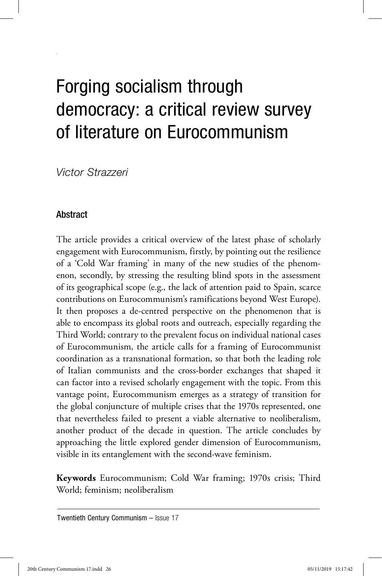# Forging socialism through democracy: a critical review survey of literature on Eurocommunism

Victor Strazzeri *Victor Strazzeri*

26 *Victor Strazzeri*

# Abstract

The article provides a critical overview of the latest phase of scholarly engagement with Eurocommunism, firstly, by pointing out the resilience of a 'Cold War framing' in many of the new studies of the phenomenon, secondly, by stressing the resulting blind spots in the assessment of its geographical scope (e.g., the lack of attention paid to Spain, scarce contributions on Eurocommunism's ramifications beyond West Europe). It then proposes a de-centred perspective on the phenomenon that is able to encompass its global roots and outreach, especially regarding the Third World; contrary to the prevalent focus on individual national cases of Eurocommunism, the article calls for a framing of Eurocommunist coordination as a transnational formation, so that both the leading role of Italian communists and the cross-border exchanges that shaped it can factor into a revised scholarly engagement with the topic. From this vantage point, Eurocommunism emerges as a strategy of transition for the global conjuncture of multiple crises that the 1970s represented, one that nevertheless failed to present a viable alternative to neoliberalism, another product of the decade in question. The article concludes by approaching the little explored gender dimension of Eurocommunism, visible in its entanglement with the second-wave feminism.

**Keywords** Eurocommunism; Cold War framing; 1970s crisis; Third World; feminism; neoliberalism

Twentieth Century Communism – Issue 17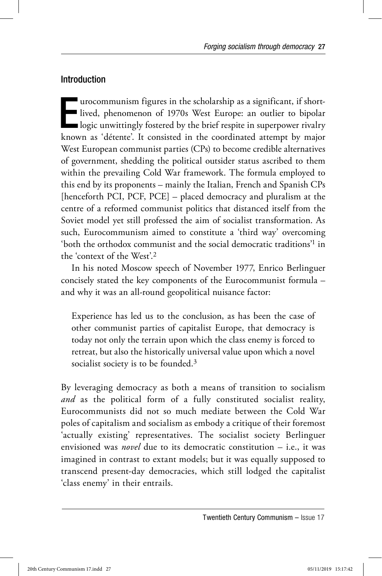## Introduction

International participation of 1970s West Europe: an outlier to bipolar<br>logic unwittingly fostered by the brief respite in superpower rivalry<br>logic unwittingly fostered by the brief respite in superpower rivalry urocommunism figures in the scholarship as a significant, if shortlived, phenomenon of 1970s West Europe: an outlier to bipolar known as 'détente'. It consisted in the coordinated attempt by major West European communist parties (CPs) to become credible alternatives of government, shedding the political outsider status ascribed to them within the prevailing Cold War framework. The formula employed to this end by its proponents – mainly the Italian, French and Spanish CPs [henceforth PCI, PCF, PCE] – placed democracy and pluralism at the centre of a reformed communist politics that distanced itself from the Soviet model yet still professed the aim of socialist transformation. As such, Eurocommunism aimed to constitute a 'third way' overcoming 'both the orthodox communist and the social democratic traditions'1 in the 'context of the West'.2

In his noted Moscow speech of November 1977, Enrico Berlinguer concisely stated the key components of the Eurocommunist formula – and why it was an all-round geopolitical nuisance factor:

Experience has led us to the conclusion, as has been the case of other communist parties of capitalist Europe, that democracy is today not only the terrain upon which the class enemy is forced to retreat, but also the historically universal value upon which a novel socialist society is to be founded.<sup>3</sup>

By leveraging democracy as both a means of transition to socialism *and* as the political form of a fully constituted socialist reality, Eurocommunists did not so much mediate between the Cold War poles of capitalism and socialism as embody a critique of their foremost 'actually existing' representatives. The socialist society Berlinguer envisioned was *novel* due to its democratic constitution – i.e., it was imagined in contrast to extant models; but it was equally supposed to transcend present-day democracies, which still lodged the capitalist 'class enemy' in their entrails.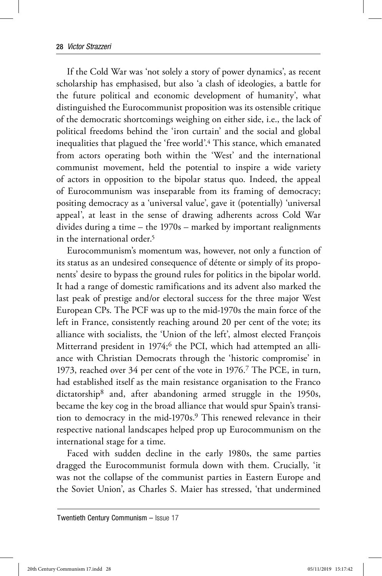If the Cold War was 'not solely a story of power dynamics', as recent scholarship has emphasised, but also 'a clash of ideologies, a battle for the future political and economic development of humanity', what distinguished the Eurocommunist proposition was its ostensible critique of the democratic shortcomings weighing on either side, i.e., the lack of political freedoms behind the 'iron curtain' and the social and global inequalities that plagued the 'free world'.4 This stance, which emanated from actors operating both within the 'West' and the international communist movement, held the potential to inspire a wide variety of actors in opposition to the bipolar status quo. Indeed, the appeal of Eurocommunism was inseparable from its framing of democracy; positing democracy as a 'universal value', gave it (potentially) 'universal appeal', at least in the sense of drawing adherents across Cold War divides during a time – the 1970s – marked by important realignments in the international order.5

Eurocommunism's momentum was, however, not only a function of its status as an undesired consequence of détente or simply of its proponents' desire to bypass the ground rules for politics in the bipolar world. It had a range of domestic ramifications and its advent also marked the last peak of prestige and/or electoral success for the three major West European CPs. The PCF was up to the mid-1970s the main force of the left in France, consistently reaching around 20 per cent of the vote; its alliance with socialists, the 'Union of the left', almost elected François Mitterrand president in 1974;<sup>6</sup> the PCI, which had attempted an alliance with Christian Democrats through the 'historic compromise' in 1973, reached over 34 per cent of the vote in 1976.7 The PCE, in turn, had established itself as the main resistance organisation to the Franco dictatorship<sup>8</sup> and, after abandoning armed struggle in the 1950s, became the key cog in the broad alliance that would spur Spain's transition to democracy in the mid-1970s.<sup>9</sup> This renewed relevance in their respective national landscapes helped prop up Eurocommunism on the international stage for a time.

Faced with sudden decline in the early 1980s, the same parties dragged the Eurocommunist formula down with them. Crucially, 'it was not the collapse of the communist parties in Eastern Europe and the Soviet Union', as Charles S. Maier has stressed, 'that undermined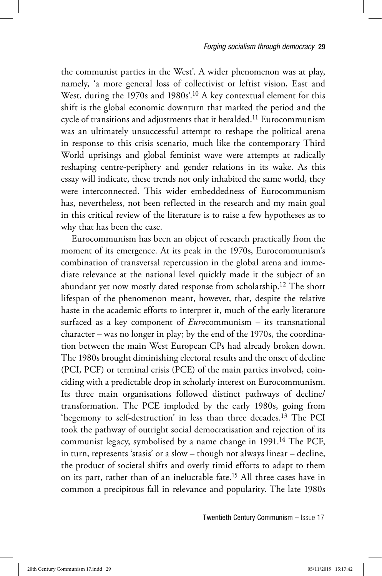the communist parties in the West'. A wider phenomenon was at play, namely, 'a more general loss of collectivist or leftist vision, East and West, during the 1970s and 1980s'.10 A key contextual element for this shift is the global economic downturn that marked the period and the cycle of transitions and adjustments that it heralded.<sup>11</sup> Eurocommunism was an ultimately unsuccessful attempt to reshape the political arena in response to this crisis scenario, much like the contemporary Third World uprisings and global feminist wave were attempts at radically reshaping centre-periphery and gender relations in its wake. As this essay will indicate, these trends not only inhabited the same world, they were interconnected. This wider embeddedness of Eurocommunism has, nevertheless, not been reflected in the research and my main goal in this critical review of the literature is to raise a few hypotheses as to why that has been the case.

Eurocommunism has been an object of research practically from the moment of its emergence. At its peak in the 1970s, Eurocommunism's combination of transversal repercussion in the global arena and immediate relevance at the national level quickly made it the subject of an abundant yet now mostly dated response from scholarship.12 The short lifespan of the phenomenon meant, however, that, despite the relative haste in the academic efforts to interpret it, much of the early literature surfaced as a key component of *Euro*communism – its transnational character – was no longer in play; by the end of the 1970s, the coordination between the main West European CPs had already broken down. The 1980s brought diminishing electoral results and the onset of decline (PCI, PCF) or terminal crisis (PCE) of the main parties involved, coinciding with a predictable drop in scholarly interest on Eurocommunism. Its three main organisations followed distinct pathways of decline/ transformation. The PCE imploded by the early 1980s, going from 'hegemony to self-destruction' in less than three decades.13 The PCI took the pathway of outright social democratisation and rejection of its communist legacy, symbolised by a name change in 1991.<sup>14</sup> The PCF, in turn, represents 'stasis' or a slow – though not always linear – decline, the product of societal shifts and overly timid efforts to adapt to them on its part, rather than of an ineluctable fate.15 All three cases have in common a precipitous fall in relevance and popularity. The late 1980s

Twentieth Century Communism – Issue 17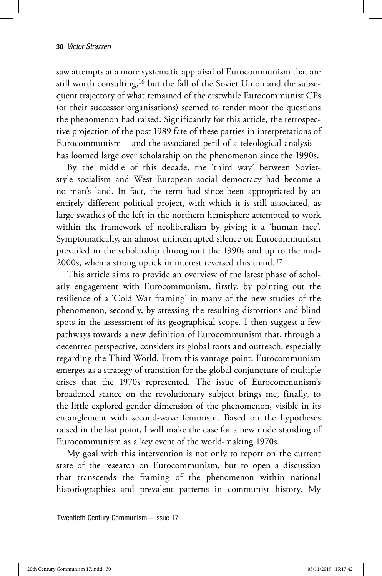saw attempts at a more systematic appraisal of Eurocommunism that are still worth consulting,16 but the fall of the Soviet Union and the subsequent trajectory of what remained of the erstwhile Eurocommunist CPs (or their successor organisations) seemed to render moot the questions the phenomenon had raised. Significantly for this article, the retrospective projection of the post-1989 fate of these parties in interpretations of Eurocommunism – and the associated peril of a teleological analysis – has loomed large over scholarship on the phenomenon since the 1990s.

By the middle of this decade, the 'third way' between Sovietstyle socialism and West European social democracy had become a no man's land. In fact, the term had since been appropriated by an entirely different political project, with which it is still associated, as large swathes of the left in the northern hemisphere attempted to work within the framework of neoliberalism by giving it a 'human face'. Symptomatically, an almost uninterrupted silence on Eurocommunism prevailed in the scholarship throughout the 1990s and up to the mid-2000s, when a strong uptick in interest reversed this trend. 17

This article aims to provide an overview of the latest phase of scholarly engagement with Eurocommunism, firstly, by pointing out the resilience of a 'Cold War framing' in many of the new studies of the phenomenon, secondly, by stressing the resulting distortions and blind spots in the assessment of its geographical scope. I then suggest a few pathways towards a new definition of Eurocommunism that, through a decentred perspective, considers its global roots and outreach, especially regarding the Third World. From this vantage point, Eurocommunism emerges as a strategy of transition for the global conjuncture of multiple crises that the 1970s represented. The issue of Eurocommunism's broadened stance on the revolutionary subject brings me, finally, to the little explored gender dimension of the phenomenon, visible in its entanglement with second-wave feminism. Based on the hypotheses raised in the last point, I will make the case for a new understanding of Eurocommunism as a key event of the world-making 1970s.

My goal with this intervention is not only to report on the current state of the research on Eurocommunism, but to open a discussion that transcends the framing of the phenomenon within national historiographies and prevalent patterns in communist history. My

Twentieth Century Communism – Issue 17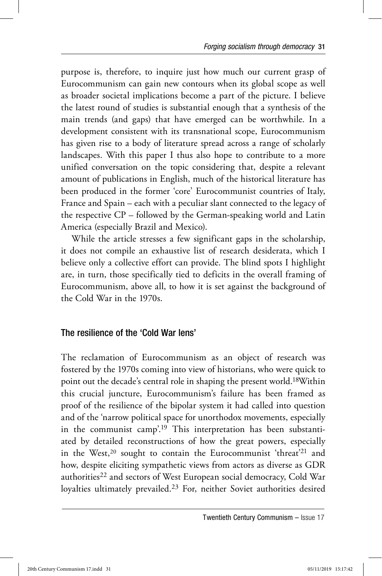purpose is, therefore, to inquire just how much our current grasp of Eurocommunism can gain new contours when its global scope as well as broader societal implications become a part of the picture. I believe the latest round of studies is substantial enough that a synthesis of the main trends (and gaps) that have emerged can be worthwhile. In a development consistent with its transnational scope, Eurocommunism has given rise to a body of literature spread across a range of scholarly landscapes. With this paper I thus also hope to contribute to a more unified conversation on the topic considering that, despite a relevant amount of publications in English, much of the historical literature has been produced in the former 'core' Eurocommunist countries of Italy, France and Spain – each with a peculiar slant connected to the legacy of the respective CP – followed by the German-speaking world and Latin America (especially Brazil and Mexico).

While the article stresses a few significant gaps in the scholarship, it does not compile an exhaustive list of research desiderata, which I believe only a collective effort can provide. The blind spots I highlight are, in turn, those specifically tied to deficits in the overall framing of Eurocommunism, above all, to how it is set against the background of the Cold War in the 1970s.

## The resilience of the 'Cold War lens'

The reclamation of Eurocommunism as an object of research was fostered by the 1970s coming into view of historians, who were quick to point out the decade's central role in shaping the present world.18Within this crucial juncture, Eurocommunism's failure has been framed as proof of the resilience of the bipolar system it had called into question and of the 'narrow political space for unorthodox movements, especially in the communist camp'.19 This interpretation has been substantiated by detailed reconstructions of how the great powers, especially in the West,<sup>20</sup> sought to contain the Eurocommunist 'threat'<sup>21</sup> and how, despite eliciting sympathetic views from actors as diverse as GDR authorities<sup>22</sup> and sectors of West European social democracy, Cold War loyalties ultimately prevailed.23 For, neither Soviet authorities desired

Twentieth Century Communism – Issue 17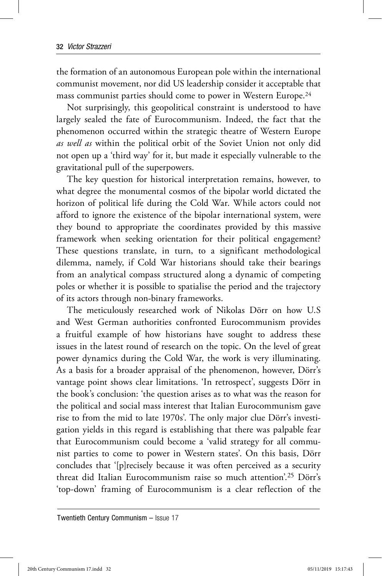the formation of an autonomous European pole within the international communist movement, nor did US leadership consider it acceptable that mass communist parties should come to power in Western Europe.24

Not surprisingly, this geopolitical constraint is understood to have largely sealed the fate of Eurocommunism. Indeed, the fact that the phenomenon occurred within the strategic theatre of Western Europe *as well as* within the political orbit of the Soviet Union not only did not open up a 'third way' for it, but made it especially vulnerable to the gravitational pull of the superpowers.

The key question for historical interpretation remains, however, to what degree the monumental cosmos of the bipolar world dictated the horizon of political life during the Cold War. While actors could not afford to ignore the existence of the bipolar international system, were they bound to appropriate the coordinates provided by this massive framework when seeking orientation for their political engagement? These questions translate, in turn, to a significant methodological dilemma, namely, if Cold War historians should take their bearings from an analytical compass structured along a dynamic of competing poles or whether it is possible to spatialise the period and the trajectory of its actors through non-binary frameworks.

The meticulously researched work of Nikolas Dörr on how U.S and West German authorities confronted Eurocommunism provides a fruitful example of how historians have sought to address these issues in the latest round of research on the topic. On the level of great power dynamics during the Cold War, the work is very illuminating. As a basis for a broader appraisal of the phenomenon, however, Dörr's vantage point shows clear limitations. 'In retrospect', suggests Dörr in the book's conclusion: 'the question arises as to what was the reason for the political and social mass interest that Italian Eurocommunism gave rise to from the mid to late 1970s'. The only major clue Dörr's investigation yields in this regard is establishing that there was palpable fear that Eurocommunism could become a 'valid strategy for all communist parties to come to power in Western states'. On this basis, Dörr concludes that '[p]recisely because it was often perceived as a security threat did Italian Eurocommunism raise so much attention'.25 Dörr's 'top-down' framing of Eurocommunism is a clear reflection of the

Twentieth Century Communism – Issue 17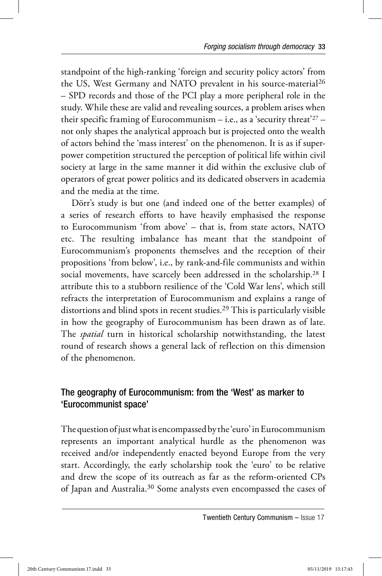standpoint of the high-ranking 'foreign and security policy actors' from the US, West Germany and NATO prevalent in his source-material<sup>26</sup> – SPD records and those of the PCI play a more peripheral role in the study. While these are valid and revealing sources, a problem arises when their specific framing of Eurocommunism  $-$  i.e., as a 'security threat'<sup>27</sup> – not only shapes the analytical approach but is projected onto the wealth of actors behind the 'mass interest' on the phenomenon. It is as if superpower competition structured the perception of political life within civil society at large in the same manner it did within the exclusive club of operators of great power politics and its dedicated observers in academia and the media at the time.

Dörr's study is but one (and indeed one of the better examples) of a series of research efforts to have heavily emphasised the response to Eurocommunism 'from above' – that is, from state actors, NATO etc. The resulting imbalance has meant that the standpoint of Eurocommunism's proponents themselves and the reception of their propositions 'from below', i.e., by rank-and-file communists and within social movements, have scarcely been addressed in the scholarship.28 I attribute this to a stubborn resilience of the 'Cold War lens', which still refracts the interpretation of Eurocommunism and explains a range of distortions and blind spots in recent studies.29 This is particularly visible in how the geography of Eurocommunism has been drawn as of late. The *spatial* turn in historical scholarship notwithstanding, the latest round of research shows a general lack of reflection on this dimension of the phenomenon.

# The geography of Eurocommunism: from the 'West' as marker to 'Eurocommunist space'

The question of just what is encompassed by the 'euro' in Eurocommunism represents an important analytical hurdle as the phenomenon was received and/or independently enacted beyond Europe from the very start. Accordingly, the early scholarship took the 'euro' to be relative and drew the scope of its outreach as far as the reform-oriented CPs of Japan and Australia.30 Some analysts even encompassed the cases of

Twentieth Century Communism – Issue 17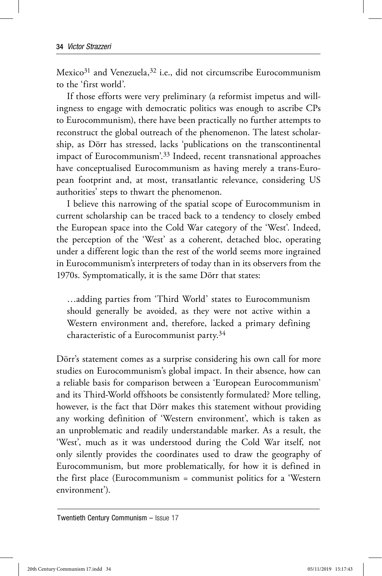Mexico<sup>31</sup> and Venezuela,<sup>32</sup> i.e., did not circumscribe Eurocommunism to the 'first world'.

If those efforts were very preliminary (a reformist impetus and willingness to engage with democratic politics was enough to ascribe CPs to Eurocommunism), there have been practically no further attempts to reconstruct the global outreach of the phenomenon. The latest scholarship, as Dörr has stressed, lacks 'publications on the transcontinental impact of Eurocommunism'.33 Indeed, recent transnational approaches have conceptualised Eurocommunism as having merely a trans-European footprint and, at most, transatlantic relevance, considering US authorities' steps to thwart the phenomenon.

I believe this narrowing of the spatial scope of Eurocommunism in current scholarship can be traced back to a tendency to closely embed the European space into the Cold War category of the 'West'. Indeed, the perception of the 'West' as a coherent, detached bloc, operating under a different logic than the rest of the world seems more ingrained in Eurocommunism's interpreters of today than in its observers from the 1970s. Symptomatically, it is the same Dörr that states:

…adding parties from 'Third World' states to Eurocommunism should generally be avoided, as they were not active within a Western environment and, therefore, lacked a primary defining characteristic of a Eurocommunist party.34

Dörr's statement comes as a surprise considering his own call for more studies on Eurocommunism's global impact. In their absence, how can a reliable basis for comparison between a 'European Eurocommunism' and its Third-World offshoots be consistently formulated? More telling, however, is the fact that Dörr makes this statement without providing any working definition of 'Western environment', which is taken as an unproblematic and readily understandable marker. As a result, the 'West', much as it was understood during the Cold War itself, not only silently provides the coordinates used to draw the geography of Eurocommunism, but more problematically, for how it is defined in the first place (Eurocommunism = communist politics for a 'Western environment').

Twentieth Century Communism – Issue 17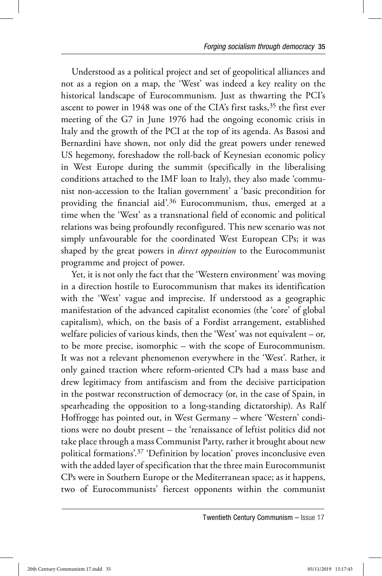Understood as a political project and set of geopolitical alliances and not as a region on a map, the 'West' was indeed a key reality on the historical landscape of Eurocommunism. Just as thwarting the PCI's ascent to power in 1948 was one of the CIA's first tasks,  $35$  the first ever meeting of the G7 in June 1976 had the ongoing economic crisis in Italy and the growth of the PCI at the top of its agenda. As Basosi and Bernardini have shown, not only did the great powers under renewed US hegemony, foreshadow the roll-back of Keynesian economic policy in West Europe during the summit (specifically in the liberalising conditions attached to the IMF loan to Italy), they also made 'communist non-accession to the Italian government' a 'basic precondition for providing the financial aid'.36 Eurocommunism, thus, emerged at a time when the 'West' as a transnational field of economic and political relations was being profoundly reconfigured. This new scenario was not simply unfavourable for the coordinated West European CPs; it was shaped by the great powers in *direct opposition* to the Eurocommunist programme and project of power.

Yet, it is not only the fact that the 'Western environment' was moving in a direction hostile to Eurocommunism that makes its identification with the 'West' vague and imprecise. If understood as a geographic manifestation of the advanced capitalist economies (the 'core' of global capitalism), which, on the basis of a Fordist arrangement, established welfare policies of various kinds, then the 'West' was not equivalent – or, to be more precise, isomorphic – with the scope of Eurocommunism. It was not a relevant phenomenon everywhere in the 'West'. Rather, it only gained traction where reform-oriented CPs had a mass base and drew legitimacy from antifascism and from the decisive participation in the postwar reconstruction of democracy (or, in the case of Spain, in spearheading the opposition to a long-standing dictatorship). As Ralf Hoffrogge has pointed out, in West Germany – where 'Western' conditions were no doubt present – the 'renaissance of leftist politics did not take place through a mass Communist Party, rather it brought about new political formations'.37 'Definition by location' proves inconclusive even with the added layer of specification that the three main Eurocommunist CPs were in Southern Europe or the Mediterranean space; as it happens, two of Eurocommunists' fiercest opponents within the communist

Twentieth Century Communism – Issue 17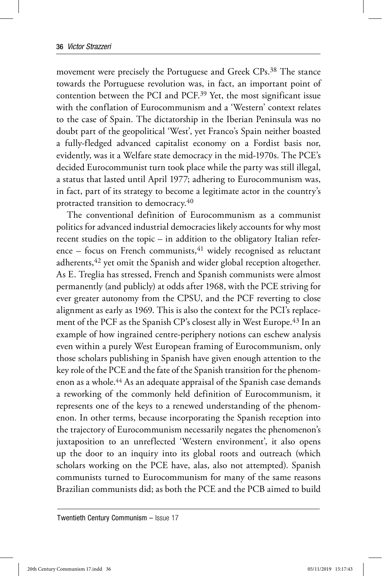movement were precisely the Portuguese and Greek CPs.38 The stance towards the Portuguese revolution was, in fact, an important point of contention between the PCI and PCF.39 Yet, the most significant issue with the conflation of Eurocommunism and a 'Western' context relates to the case of Spain. The dictatorship in the Iberian Peninsula was no doubt part of the geopolitical 'West', yet Franco's Spain neither boasted a fully-fledged advanced capitalist economy on a Fordist basis nor, evidently, was it a Welfare state democracy in the mid-1970s. The PCE's decided Eurocommunist turn took place while the party was still illegal, a status that lasted until April 1977; adhering to Eurocommunism was, in fact, part of its strategy to become a legitimate actor in the country's protracted transition to democracy.40

The conventional definition of Eurocommunism as a communist politics for advanced industrial democracies likely accounts for why most recent studies on the topic – in addition to the obligatory Italian reference – focus on French communists, $41$  widely recognised as reluctant adherents,<sup>42</sup> yet omit the Spanish and wider global reception altogether. As E. Treglia has stressed, French and Spanish communists were almost permanently (and publicly) at odds after 1968, with the PCE striving for ever greater autonomy from the CPSU, and the PCF reverting to close alignment as early as 1969. This is also the context for the PCI's replacement of the PCF as the Spanish CP's closest ally in West Europe.<sup>43</sup> In an example of how ingrained centre-periphery notions can eschew analysis even within a purely West European framing of Eurocommunism, only those scholars publishing in Spanish have given enough attention to the key role of the PCE and the fate of the Spanish transition for the phenomenon as a whole.44 As an adequate appraisal of the Spanish case demands a reworking of the commonly held definition of Eurocommunism, it represents one of the keys to a renewed understanding of the phenomenon. In other terms, because incorporating the Spanish reception into the trajectory of Eurocommunism necessarily negates the phenomenon's juxtaposition to an unreflected 'Western environment', it also opens up the door to an inquiry into its global roots and outreach (which scholars working on the PCE have, alas, also not attempted). Spanish communists turned to Eurocommunism for many of the same reasons Brazilian communists did; as both the PCE and the PCB aimed to build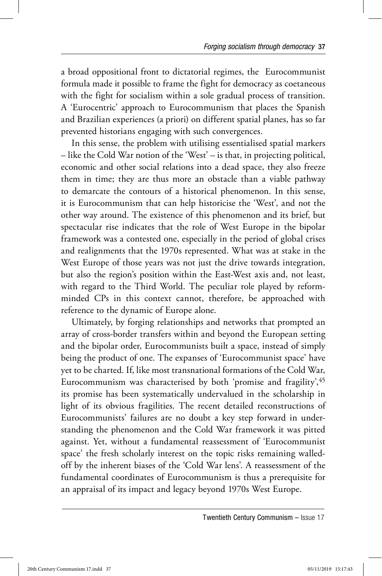a broad oppositional front to dictatorial regimes, the Eurocommunist formula made it possible to frame the fight for democracy as coetaneous with the fight for socialism within a sole gradual process of transition. A 'Eurocentric' approach to Eurocommunism that places the Spanish and Brazilian experiences (a priori) on different spatial planes, has so far prevented historians engaging with such convergences.

In this sense, the problem with utilising essentialised spatial markers – like the Cold War notion of the 'West' – is that, in projecting political, economic and other social relations into a dead space, they also freeze them in time; they are thus more an obstacle than a viable pathway to demarcate the contours of a historical phenomenon. In this sense, it is Eurocommunism that can help historicise the 'West', and not the other way around. The existence of this phenomenon and its brief, but spectacular rise indicates that the role of West Europe in the bipolar framework was a contested one, especially in the period of global crises and realignments that the 1970s represented. What was at stake in the West Europe of those years was not just the drive towards integration, but also the region's position within the East-West axis and, not least, with regard to the Third World. The peculiar role played by reformminded CPs in this context cannot, therefore, be approached with reference to the dynamic of Europe alone.

Ultimately, by forging relationships and networks that prompted an array of cross-border transfers within and beyond the European setting and the bipolar order, Eurocommunists built a space, instead of simply being the product of one. The expanses of 'Eurocommunist space' have yet to be charted. If, like most transnational formations of the Cold War, Eurocommunism was characterised by both 'promise and fragility', 45 its promise has been systematically undervalued in the scholarship in light of its obvious fragilities. The recent detailed reconstructions of Eurocommunists' failures are no doubt a key step forward in understanding the phenomenon and the Cold War framework it was pitted against. Yet, without a fundamental reassessment of 'Eurocommunist space' the fresh scholarly interest on the topic risks remaining walledoff by the inherent biases of the 'Cold War lens'. A reassessment of the fundamental coordinates of Eurocommunism is thus a prerequisite for an appraisal of its impact and legacy beyond 1970s West Europe.

Twentieth Century Communism – Issue 17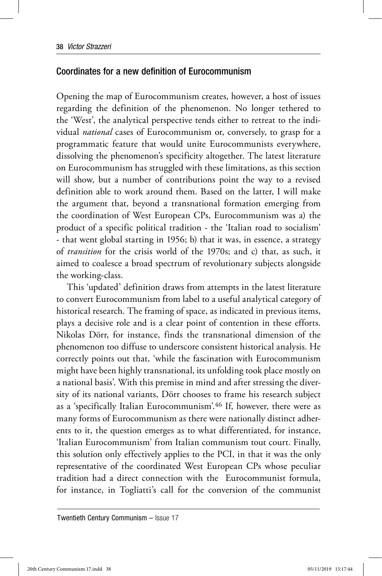#### Coordinates for a new definition of Eurocommunism

Opening the map of Eurocommunism creates, however, a host of issues regarding the definition of the phenomenon. No longer tethered to the 'West', the analytical perspective tends either to retreat to the individual *national* cases of Eurocommunism or, conversely, to grasp for a programmatic feature that would unite Eurocommunists everywhere, dissolving the phenomenon's specificity altogether. The latest literature on Eurocommunism has struggled with these limitations, as this section will show, but a number of contributions point the way to a revised definition able to work around them. Based on the latter, I will make the argument that, beyond a transnational formation emerging from the coordination of West European CPs, Eurocommunism was a) the product of a specific political tradition - the 'Italian road to socialism' - that went global starting in 1956; b) that it was, in essence, a strategy of *transition* for the crisis world of the 1970s; and c) that, as such, it aimed to coalesce a broad spectrum of revolutionary subjects alongside the working-class.

This 'updated' definition draws from attempts in the latest literature to convert Eurocommunism from label to a useful analytical category of historical research. The framing of space, as indicated in previous items, plays a decisive role and is a clear point of contention in these efforts. Nikolas Dörr, for instance, finds the transnational dimension of the phenomenon too diffuse to underscore consistent historical analysis. He correctly points out that, 'while the fascination with Eurocommunism might have been highly transnational, its unfolding took place mostly on a national basis'. With this premise in mind and after stressing the diversity of its national variants, Dörr chooses to frame his research subject as a 'specifically Italian Eurocommunism'.46 If, however, there were as many forms of Eurocommunism as there were nationally distinct adherents to it, the question emerges as to what differentiated, for instance, 'Italian Eurocommunism' from Italian communism tout court. Finally, this solution only effectively applies to the PCI, in that it was the only representative of the coordinated West European CPs whose peculiar tradition had a direct connection with the Eurocommunist formula, for instance, in Togliatti's call for the conversion of the communist

Twentieth Century Communism – Issue 17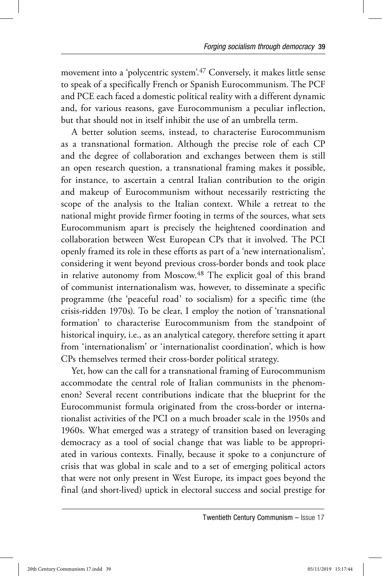movement into a 'polycentric system'.47 Conversely, it makes little sense to speak of a specifically French or Spanish Eurocommunism. The PCF and PCE each faced a domestic political reality with a different dynamic and, for various reasons, gave Eurocommunism a peculiar inflection, but that should not in itself inhibit the use of an umbrella term.

A better solution seems, instead, to characterise Eurocommunism as a transnational formation. Although the precise role of each CP and the degree of collaboration and exchanges between them is still an open research question, a transnational framing makes it possible, for instance, to ascertain a central Italian contribution to the origin and makeup of Eurocommunism without necessarily restricting the scope of the analysis to the Italian context. While a retreat to the national might provide firmer footing in terms of the sources, what sets Eurocommunism apart is precisely the heightened coordination and collaboration between West European CPs that it involved. The PCI openly framed its role in these efforts as part of a 'new internationalism', considering it went beyond previous cross-border bonds and took place in relative autonomy from Moscow.<sup>48</sup> The explicit goal of this brand of communist internationalism was, however, to disseminate a specific programme (the 'peaceful road' to socialism) for a specific time (the crisis-ridden 1970s). To be clear, I employ the notion of 'transnational formation' to characterise Eurocommunism from the standpoint of historical inquiry, i.e., as an analytical category, therefore setting it apart from 'internationalism' or 'internationalist coordination', which is how CPs themselves termed their cross-border political strategy.

Yet, how can the call for a transnational framing of Eurocommunism accommodate the central role of Italian communists in the phenomenon? Several recent contributions indicate that the blueprint for the Eurocommunist formula originated from the cross-border or internationalist activities of the PCI on a much broader scale in the 1950s and 1960s. What emerged was a strategy of transition based on leveraging democracy as a tool of social change that was liable to be appropriated in various contexts. Finally, because it spoke to a conjuncture of crisis that was global in scale and to a set of emerging political actors that were not only present in West Europe, its impact goes beyond the final (and short-lived) uptick in electoral success and social prestige for

Twentieth Century Communism – Issue 17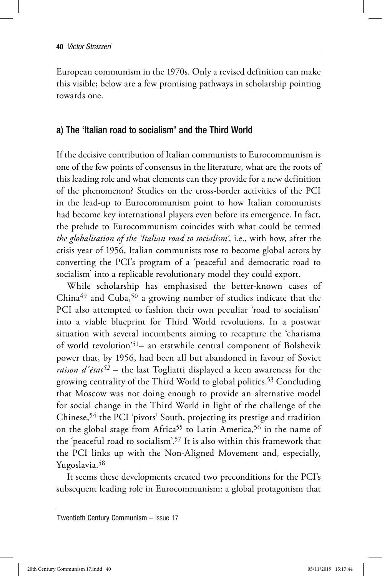European communism in the 1970s. Only a revised definition can make this visible; below are a few promising pathways in scholarship pointing towards one.

#### a) The 'Italian road to socialism' and the Third World

If the decisive contribution of Italian communists to Eurocommunism is one of the few points of consensus in the literature, what are the roots of this leading role and what elements can they provide for a new definition of the phenomenon? Studies on the cross-border activities of the PCI in the lead-up to Eurocommunism point to how Italian communists had become key international players even before its emergence. In fact, the prelude to Eurocommunism coincides with what could be termed *the globalisation of the 'Italian road to socialism'*, i.e., with how, after the crisis year of 1956, Italian communists rose to become global actors by converting the PCI's program of a 'peaceful and democratic road to socialism' into a replicable revolutionary model they could export.

While scholarship has emphasised the better-known cases of  $China<sup>49</sup>$  and Cuba,<sup>50</sup> a growing number of studies indicate that the PCI also attempted to fashion their own peculiar 'road to socialism' into a viable blueprint for Third World revolutions. In a postwar situation with several incumbents aiming to recapture the 'charisma of world revolution'51– an erstwhile central component of Bolshevik power that, by 1956, had been all but abandoned in favour of Soviet *raison d'état52* – the last Togliatti displayed a keen awareness for the growing centrality of the Third World to global politics.53 Concluding that Moscow was not doing enough to provide an alternative model for social change in the Third World in light of the challenge of the Chinese,54 the PCI 'pivots' South, projecting its prestige and tradition on the global stage from Africa<sup>55</sup> to Latin America,<sup>56</sup> in the name of the 'peaceful road to socialism'.57 It is also within this framework that the PCI links up with the Non-Aligned Movement and, especially, Yugoslavia.58

It seems these developments created two preconditions for the PCI's subsequent leading role in Eurocommunism: a global protagonism that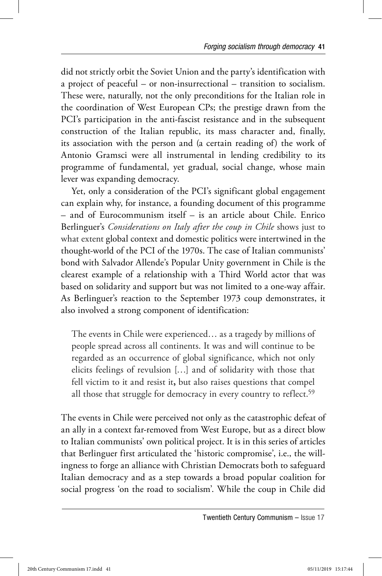did not strictly orbit the Soviet Union and the party's identification with a project of peaceful – or non-insurrectional – transition to socialism. These were, naturally, not the only preconditions for the Italian role in the coordination of West European CPs; the prestige drawn from the PCI's participation in the anti-fascist resistance and in the subsequent construction of the Italian republic, its mass character and, finally, its association with the person and (a certain reading of) the work of Antonio Gramsci were all instrumental in lending credibility to its programme of fundamental, yet gradual, social change, whose main lever was expanding democracy.

Yet, only a consideration of the PCI's significant global engagement can explain why, for instance, a founding document of this programme – and of Eurocommunism itself – is an article about Chile. Enrico Berlinguer's *Considerations on Italy after the coup in Chile* shows just to what extent global context and domestic politics were intertwined in the thought-world of the PCI of the 1970s. The case of Italian communists' bond with Salvador Allende's Popular Unity government in Chile is the clearest example of a relationship with a Third World actor that was based on solidarity and support but was not limited to a one-way affair. As Berlinguer's reaction to the September 1973 coup demonstrates, it also involved a strong component of identification:

The events in Chile were experienced… as a tragedy by millions of people spread across all continents. It was and will continue to be regarded as an occurrence of global significance, which not only elicits feelings of revulsion […] and of solidarity with those that fell victim to it and resist it**,** but also raises questions that compel all those that struggle for democracy in every country to reflect.<sup>59</sup>

The events in Chile were perceived not only as the catastrophic defeat of an ally in a context far-removed from West Europe, but as a direct blow to Italian communists' own political project. It is in this series of articles that Berlinguer first articulated the 'historic compromise', i.e., the willingness to forge an alliance with Christian Democrats both to safeguard Italian democracy and as a step towards a broad popular coalition for social progress 'on the road to socialism'. While the coup in Chile did

Twentieth Century Communism – Issue 17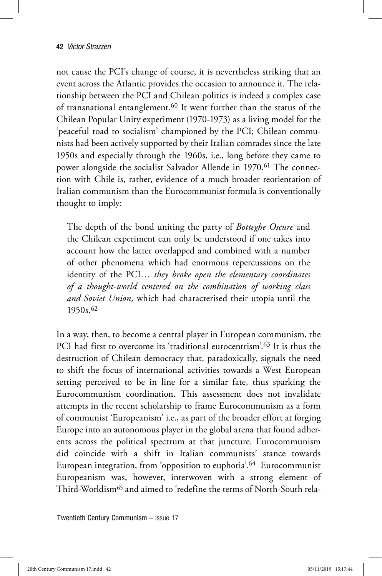not cause the PCI's change of course, it is nevertheless striking that an event across the Atlantic provides the occasion to announce it. The relationship between the PCI and Chilean politics is indeed a complex case of transnational entanglement.60 It went further than the status of the Chilean Popular Unity experiment (1970-1973) as a living model for the 'peaceful road to socialism' championed by the PCI; Chilean communists had been actively supported by their Italian comrades since the late 1950s and especially through the 1960s, i.e., long before they came to power alongside the socialist Salvador Allende in 1970.<sup>61</sup> The connection with Chile is, rather, evidence of a much broader reorientation of Italian communism than the Eurocommunist formula is conventionally thought to imply:

The depth of the bond uniting the party of *Botteghe Oscure* and the Chilean experiment can only be understood if one takes into account how the latter overlapped and combined with a number of other phenomena which had enormous repercussions on the identity of the PCI… *they broke open the elementary coordinates of a thought-world centered on the combination of working class and Soviet Union,* which had characterised their utopia until the 1950s.62

In a way, then, to become a central player in European communism, the PCI had first to overcome its 'traditional eurocentrism'.<sup>63</sup> It is thus the destruction of Chilean democracy that, paradoxically, signals the need to shift the focus of international activities towards a West European setting perceived to be in line for a similar fate, thus sparking the Eurocommunism coordination. This assessment does not invalidate attempts in the recent scholarship to frame Eurocommunism as a form of communist 'Europeanism' i.e., as part of the broader effort at forging Europe into an autonomous player in the global arena that found adherents across the political spectrum at that juncture. Eurocommunism did coincide with a shift in Italian communists' stance towards European integration, from 'opposition to euphoria'.64 Eurocommunist Europeanism was, however, interwoven with a strong element of Third-Worldism65 and aimed to 'redefine the terms of North-South rela-

Twentieth Century Communism – Issue 17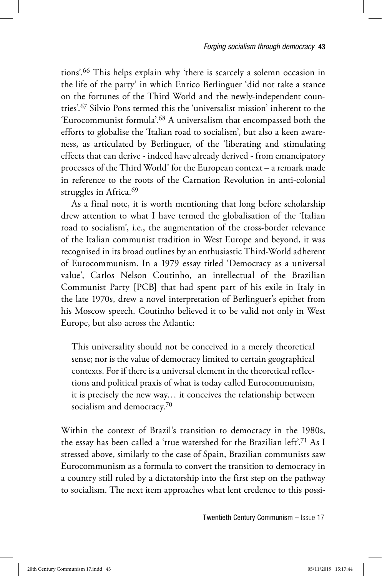tions'.66 This helps explain why 'there is scarcely a solemn occasion in the life of the party' in which Enrico Berlinguer 'did not take a stance on the fortunes of the Third World and the newly-independent countries'.67 Silvio Pons termed this the 'universalist mission' inherent to the 'Eurocommunist formula'.68 A universalism that encompassed both the efforts to globalise the 'Italian road to socialism', but also a keen awareness, as articulated by Berlinguer, of the 'liberating and stimulating effects that can derive - indeed have already derived - from emancipatory processes of the Third World' for the European context – a remark made in reference to the roots of the Carnation Revolution in anti-colonial struggles in Africa.<sup>69</sup>

As a final note, it is worth mentioning that long before scholarship drew attention to what I have termed the globalisation of the 'Italian road to socialism', i.e., the augmentation of the cross-border relevance of the Italian communist tradition in West Europe and beyond, it was recognised in its broad outlines by an enthusiastic Third-World adherent of Eurocommunism. In a 1979 essay titled 'Democracy as a universal value', Carlos Nelson Coutinho, an intellectual of the Brazilian Communist Party [PCB] that had spent part of his exile in Italy in the late 1970s, drew a novel interpretation of Berlinguer's epithet from his Moscow speech. Coutinho believed it to be valid not only in West Europe, but also across the Atlantic:

This universality should not be conceived in a merely theoretical sense; nor is the value of democracy limited to certain geographical contexts. For if there is a universal element in the theoretical reflections and political praxis of what is today called Eurocommunism, it is precisely the new way… it conceives the relationship between socialism and democracy.<sup>70</sup>

Within the context of Brazil's transition to democracy in the 1980s, the essay has been called a 'true watershed for the Brazilian left'.71 As I stressed above, similarly to the case of Spain, Brazilian communists saw Eurocommunism as a formula to convert the transition to democracy in a country still ruled by a dictatorship into the first step on the pathway to socialism. The next item approaches what lent credence to this possi-

Twentieth Century Communism – Issue 17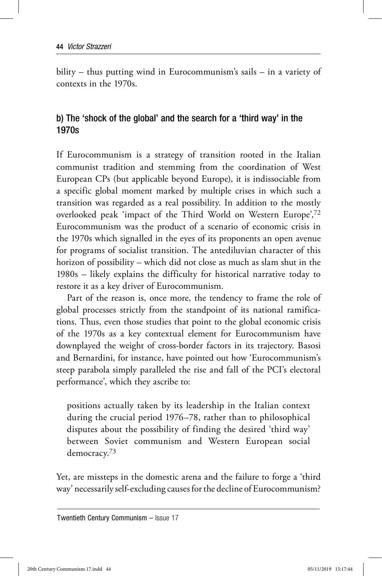bility – thus putting wind in Eurocommunism's sails – in a variety of contexts in the 1970s.

# b) The 'shock of the global' and the search for a 'third way' in the 1970s

If Eurocommunism is a strategy of transition rooted in the Italian communist tradition and stemming from the coordination of West European CPs (but applicable beyond Europe), it is indissociable from a specific global moment marked by multiple crises in which such a transition was regarded as a real possibility. In addition to the mostly overlooked peak 'impact of the Third World on Western Europe',72 Eurocommunism was the product of a scenario of economic crisis in the 1970s which signalled in the eyes of its proponents an open avenue for programs of socialist transition. The antediluvian character of this horizon of possibility – which did not close as much as slam shut in the 1980s – likely explains the difficulty for historical narrative today to restore it as a key driver of Eurocommunism.

Part of the reason is, once more, the tendency to frame the role of global processes strictly from the standpoint of its national ramifications. Thus, even those studies that point to the global economic crisis of the 1970s as a key contextual element for Eurocommunism have downplayed the weight of cross-border factors in its trajectory. Basosi and Bernardini, for instance, have pointed out how 'Eurocommunism's steep parabola simply paralleled the rise and fall of the PCI's electoral performance', which they ascribe to:

positions actually taken by its leadership in the Italian context during the crucial period 1976–78, rather than to philosophical disputes about the possibility of finding the desired 'third way' between Soviet communism and Western European social democracy.73

Yet, are missteps in the domestic arena and the failure to forge a 'third way' necessarily self-excluding causes for the decline of Eurocommunism?

Twentieth Century Communism – Issue 17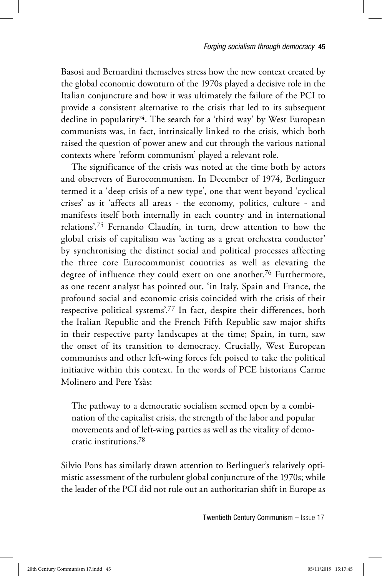Basosi and Bernardini themselves stress how the new context created by the global economic downturn of the 1970s played a decisive role in the Italian conjuncture and how it was ultimately the failure of the PCI to provide a consistent alternative to the crisis that led to its subsequent decline in popularity<sup>74</sup>. The search for a 'third way' by West European communists was, in fact, intrinsically linked to the crisis, which both raised the question of power anew and cut through the various national contexts where 'reform communism' played a relevant role.

The significance of the crisis was noted at the time both by actors and observers of Eurocommunism. In December of 1974, Berlinguer termed it a 'deep crisis of a new type', one that went beyond 'cyclical crises' as it 'affects all areas - the economy, politics, culture - and manifests itself both internally in each country and in international relations'.75 Fernando Claudín, in turn, drew attention to how the global crisis of capitalism was 'acting as a great orchestra conductor' by synchronising the distinct social and political processes affecting the three core Eurocommunist countries as well as elevating the degree of influence they could exert on one another.76 Furthermore, as one recent analyst has pointed out, 'in Italy, Spain and France, the profound social and economic crisis coincided with the crisis of their respective political systems'.77 In fact, despite their differences, both the Italian Republic and the French Fifth Republic saw major shifts in their respective party landscapes at the time; Spain, in turn, saw the onset of its transition to democracy. Crucially, West European communists and other left-wing forces felt poised to take the political initiative within this context. In the words of PCE historians Carme Molinero and Pere Ysàs:

The pathway to a democratic socialism seemed open by a combination of the capitalist crisis, the strength of the labor and popular movements and of left-wing parties as well as the vitality of democratic institutions.78

Silvio Pons has similarly drawn attention to Berlinguer's relatively optimistic assessment of the turbulent global conjuncture of the 1970s; while the leader of the PCI did not rule out an authoritarian shift in Europe as

Twentieth Century Communism – Issue 17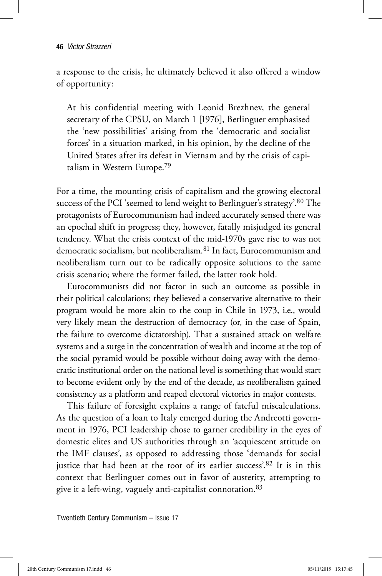a response to the crisis, he ultimately believed it also offered a window of opportunity:

At his confidential meeting with Leonid Brezhnev, the general secretary of the CPSU, on March 1 [1976], Berlinguer emphasised the 'new possibilities' arising from the 'democratic and socialist forces' in a situation marked, in his opinion, by the decline of the United States after its defeat in Vietnam and by the crisis of capitalism in Western Europe.79

For a time, the mounting crisis of capitalism and the growing electoral success of the PCI 'seemed to lend weight to Berlinguer's strategy'.<sup>80</sup> The protagonists of Eurocommunism had indeed accurately sensed there was an epochal shift in progress; they, however, fatally misjudged its general tendency. What the crisis context of the mid-1970s gave rise to was not democratic socialism, but neoliberalism.81 In fact, Eurocommunism and neoliberalism turn out to be radically opposite solutions to the same crisis scenario; where the former failed, the latter took hold.

Eurocommunists did not factor in such an outcome as possible in their political calculations; they believed a conservative alternative to their program would be more akin to the coup in Chile in 1973, i.e., would very likely mean the destruction of democracy (or, in the case of Spain, the failure to overcome dictatorship). That a sustained attack on welfare systems and a surge in the concentration of wealth and income at the top of the social pyramid would be possible without doing away with the democratic institutional order on the national level is something that would start to become evident only by the end of the decade, as neoliberalism gained consistency as a platform and reaped electoral victories in major contests.

This failure of foresight explains a range of fateful miscalculations. As the question of a loan to Italy emerged during the Andreotti government in 1976, PCI leadership chose to garner credibility in the eyes of domestic elites and US authorities through an 'acquiescent attitude on the IMF clauses', as opposed to addressing those 'demands for social justice that had been at the root of its earlier success'.<sup>82</sup> It is in this context that Berlinguer comes out in favor of austerity, attempting to give it a left-wing, vaguely anti-capitalist connotation.83

Twentieth Century Communism – Issue 17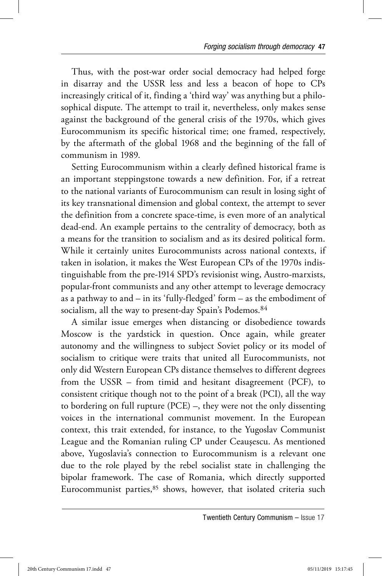Thus, with the post-war order social democracy had helped forge in disarray and the USSR less and less a beacon of hope to CPs increasingly critical of it, finding a 'third way' was anything but a philosophical dispute. The attempt to trail it, nevertheless, only makes sense against the background of the general crisis of the 1970s, which gives Eurocommunism its specific historical time; one framed, respectively, by the aftermath of the global 1968 and the beginning of the fall of communism in 1989.

Setting Eurocommunism within a clearly defined historical frame is an important steppingstone towards a new definition. For, if a retreat to the national variants of Eurocommunism can result in losing sight of its key transnational dimension and global context, the attempt to sever the definition from a concrete space-time, is even more of an analytical dead-end. An example pertains to the centrality of democracy, both as a means for the transition to socialism and as its desired political form. While it certainly unites Eurocommunists across national contexts, if taken in isolation, it makes the West European CPs of the 1970s indistinguishable from the pre-1914 SPD's revisionist wing, Austro-marxists, popular-front communists and any other attempt to leverage democracy as a pathway to and – in its 'fully-fledged' form – as the embodiment of socialism, all the way to present-day Spain's Podemos.<sup>84</sup>

A similar issue emerges when distancing or disobedience towards Moscow is the yardstick in question. Once again, while greater autonomy and the willingness to subject Soviet policy or its model of socialism to critique were traits that united all Eurocommunists, not only did Western European CPs distance themselves to different degrees from the USSR – from timid and hesitant disagreement (PCF), to consistent critique though not to the point of a break (PCI), all the way to bordering on full rupture (PCE) –, they were not the only dissenting voices in the international communist movement. In the European context, this trait extended, for instance, to the Yugoslav Communist League and the Romanian ruling CP under Ceauşescu. As mentioned above, Yugoslavia's connection to Eurocommunism is a relevant one due to the role played by the rebel socialist state in challenging the bipolar framework. The case of Romania, which directly supported Eurocommunist parties, 85 shows, however, that isolated criteria such

Twentieth Century Communism – Issue 17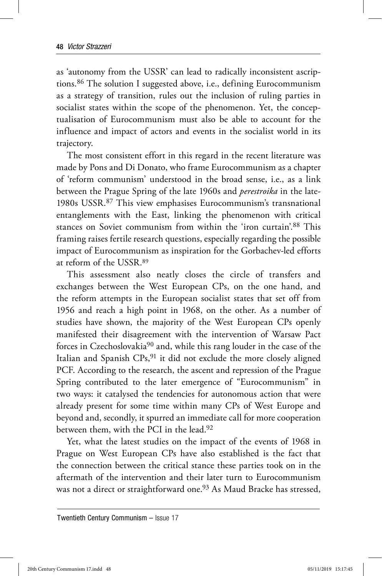as 'autonomy from the USSR' can lead to radically inconsistent ascriptions.86 The solution I suggested above, i.e., defining Eurocommunism as a strategy of transition, rules out the inclusion of ruling parties in socialist states within the scope of the phenomenon. Yet, the conceptualisation of Eurocommunism must also be able to account for the influence and impact of actors and events in the socialist world in its trajectory.

The most consistent effort in this regard in the recent literature was made by Pons and Di Donato, who frame Eurocommunism as a chapter of 'reform communism' understood in the broad sense, i.e., as a link between the Prague Spring of the late 1960s and *perestroika* in the late-1980s USSR.87 This view emphasises Eurocommunism's transnational entanglements with the East, linking the phenomenon with critical stances on Soviet communism from within the 'iron curtain'.88 This framing raises fertile research questions, especially regarding the possible impact of Eurocommunism as inspiration for the Gorbachev-led efforts at reform of the USSR.89

This assessment also neatly closes the circle of transfers and exchanges between the West European CPs, on the one hand, and the reform attempts in the European socialist states that set off from 1956 and reach a high point in 1968, on the other. As a number of studies have shown, the majority of the West European CPs openly manifested their disagreement with the intervention of Warsaw Pact forces in Czechoslovakia90 and, while this rang louder in the case of the Italian and Spanish CPs,91 it did not exclude the more closely aligned PCF. According to the research, the ascent and repression of the Prague Spring contributed to the later emergence of "Eurocommunism" in two ways: it catalysed the tendencies for autonomous action that were already present for some time within many CPs of West Europe and beyond and, secondly, it spurred an immediate call for more cooperation between them, with the PCI in the lead.92

Yet, what the latest studies on the impact of the events of 1968 in Prague on West European CPs have also established is the fact that the connection between the critical stance these parties took on in the aftermath of the intervention and their later turn to Eurocommunism was not a direct or straightforward one.<sup>93</sup> As Maud Bracke has stressed,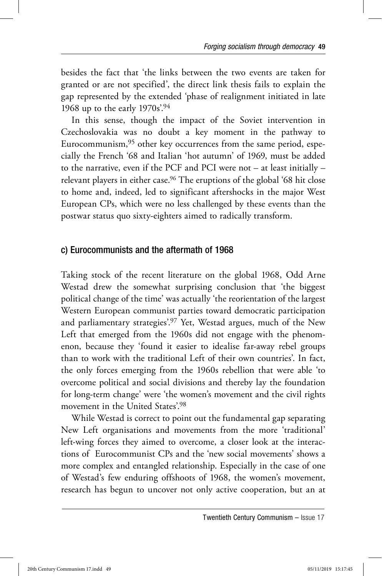besides the fact that 'the links between the two events are taken for granted or are not specified', the direct link thesis fails to explain the gap represented by the extended 'phase of realignment initiated in late 1968 up to the early 1970s'.94

In this sense, though the impact of the Soviet intervention in Czechoslovakia was no doubt a key moment in the pathway to Eurocommunism,95 other key occurrences from the same period, especially the French '68 and Italian 'hot autumn' of 1969, must be added to the narrative, even if the PCF and PCI were not – at least initially – relevant players in either case.<sup>96</sup> The eruptions of the global '68 hit close to home and, indeed, led to significant aftershocks in the major West European CPs, which were no less challenged by these events than the postwar status quo sixty-eighters aimed to radically transform.

## c) Eurocommunists and the aftermath of 1968

Taking stock of the recent literature on the global 1968, Odd Arne Westad drew the somewhat surprising conclusion that 'the biggest political change of the time' was actually 'the reorientation of the largest Western European communist parties toward democratic participation and parliamentary strategies'.97 Yet, Westad argues, much of the New Left that emerged from the 1960s did not engage with the phenomenon, because they 'found it easier to idealise far-away rebel groups than to work with the traditional Left of their own countries'. In fact, the only forces emerging from the 1960s rebellion that were able 'to overcome political and social divisions and thereby lay the foundation for long-term change' were 'the women's movement and the civil rights movement in the United States'.98

While Westad is correct to point out the fundamental gap separating New Left organisations and movements from the more 'traditional' left-wing forces they aimed to overcome, a closer look at the interactions of Eurocommunist CPs and the 'new social movements' shows a more complex and entangled relationship. Especially in the case of one of Westad's few enduring offshoots of 1968, the women's movement, research has begun to uncover not only active cooperation, but an at

Twentieth Century Communism – Issue 17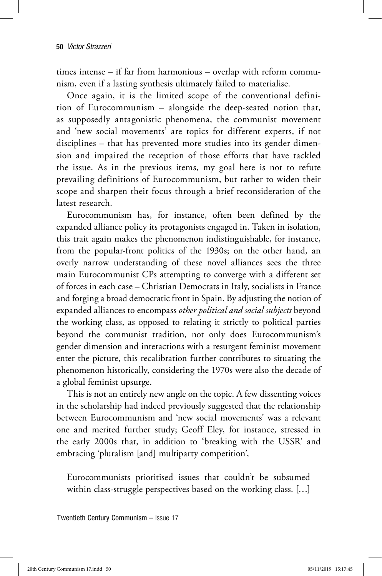times intense – if far from harmonious – overlap with reform communism, even if a lasting synthesis ultimately failed to materialise.

Once again, it is the limited scope of the conventional definition of Eurocommunism – alongside the deep-seated notion that, as supposedly antagonistic phenomena, the communist movement and 'new social movements' are topics for different experts, if not disciplines – that has prevented more studies into its gender dimension and impaired the reception of those efforts that have tackled the issue. As in the previous items, my goal here is not to refute prevailing definitions of Eurocommunism, but rather to widen their scope and sharpen their focus through a brief reconsideration of the latest research.

Eurocommunism has, for instance, often been defined by the expanded alliance policy its protagonists engaged in. Taken in isolation, this trait again makes the phenomenon indistinguishable, for instance, from the popular-front politics of the 1930s; on the other hand, an overly narrow understanding of these novel alliances sees the three main Eurocommunist CPs attempting to converge with a different set of forces in each case – Christian Democrats in Italy, socialists in France and forging a broad democratic front in Spain. By adjusting the notion of expanded alliances to encompass *other political and social subjects* beyond the working class, as opposed to relating it strictly to political parties beyond the communist tradition, not only does Eurocommunism's gender dimension and interactions with a resurgent feminist movement enter the picture, this recalibration further contributes to situating the phenomenon historically, considering the 1970s were also the decade of a global feminist upsurge.

This is not an entirely new angle on the topic. A few dissenting voices in the scholarship had indeed previously suggested that the relationship between Eurocommunism and 'new social movements' was a relevant one and merited further study; Geoff Eley, for instance, stressed in the early 2000s that, in addition to 'breaking with the USSR' and embracing 'pluralism [and] multiparty competition',

Eurocommunists prioritised issues that couldn't be subsumed within class-struggle perspectives based on the working class. […]

Twentieth Century Communism – Issue 17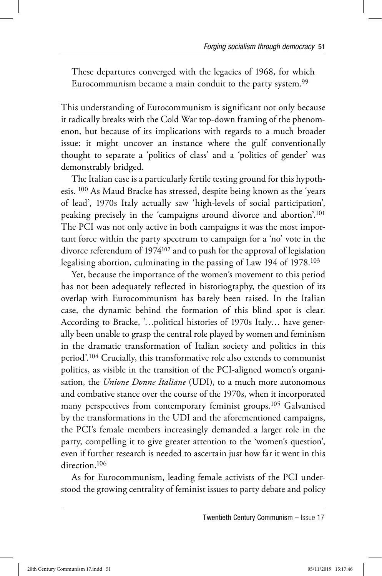These departures converged with the legacies of 1968, for which Eurocommunism became a main conduit to the party system.<sup>99</sup>

This understanding of Eurocommunism is significant not only because it radically breaks with the Cold War top-down framing of the phenomenon, but because of its implications with regards to a much broader issue: it might uncover an instance where the gulf conventionally thought to separate a 'politics of class' and a 'politics of gender' was demonstrably bridged.

The Italian case is a particularly fertile testing ground for this hypothesis. 100 As Maud Bracke has stressed, despite being known as the 'years of lead', 1970s Italy actually saw 'high-levels of social participation', peaking precisely in the 'campaigns around divorce and abortion'.101 The PCI was not only active in both campaigns it was the most important force within the party spectrum to campaign for a 'no' vote in the divorce referendum of 1974102 and to push for the approval of legislation legalising abortion, culminating in the passing of Law 194 of 1978.103

Yet, because the importance of the women's movement to this period has not been adequately reflected in historiography, the question of its overlap with Eurocommunism has barely been raised. In the Italian case, the dynamic behind the formation of this blind spot is clear. According to Bracke, '…political histories of 1970s Italy… have generally been unable to grasp the central role played by women and feminism in the dramatic transformation of Italian society and politics in this period'.104 Crucially, this transformative role also extends to communist politics, as visible in the transition of the PCI-aligned women's organisation, the *Unione Donne Italiane* (UDI), to a much more autonomous and combative stance over the course of the 1970s, when it incorporated many perspectives from contemporary feminist groups.<sup>105</sup> Galvanised by the transformations in the UDI and the aforementioned campaigns, the PCI's female members increasingly demanded a larger role in the party, compelling it to give greater attention to the 'women's question', even if further research is needed to ascertain just how far it went in this direction.<sup>106</sup>

As for Eurocommunism, leading female activists of the PCI understood the growing centrality of feminist issues to party debate and policy

Twentieth Century Communism – Issue 17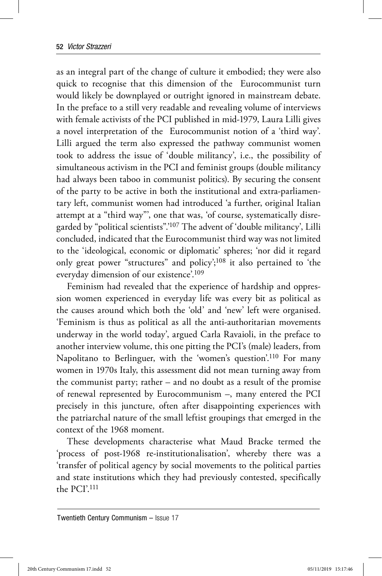as an integral part of the change of culture it embodied; they were also quick to recognise that this dimension of the Eurocommunist turn would likely be downplayed or outright ignored in mainstream debate. In the preface to a still very readable and revealing volume of interviews with female activists of the PCI published in mid-1979, Laura Lilli gives a novel interpretation of the Eurocommunist notion of a 'third way'. Lilli argued the term also expressed the pathway communist women took to address the issue of 'double militancy', i.e., the possibility of simultaneous activism in the PCI and feminist groups (double militancy had always been taboo in communist politics). By securing the consent of the party to be active in both the institutional and extra-parliamentary left, communist women had introduced 'a further, original Italian attempt at a "third way"', one that was, 'of course, systematically disregarded by "political scientists".'107 The advent of 'double militancy', Lilli concluded, indicated that the Eurocommunist third way was not limited to the 'ideological, economic or diplomatic' spheres; 'nor did it regard only great power "structures" and policy';108 it also pertained to 'the everyday dimension of our existence'.109

Feminism had revealed that the experience of hardship and oppression women experienced in everyday life was every bit as political as the causes around which both the 'old' and 'new' left were organised. 'Feminism is thus as political as all the anti-authoritarian movements underway in the world today', argued Carla Ravaioli, in the preface to another interview volume, this one pitting the PCI's (male) leaders, from Napolitano to Berlinguer, with the 'women's question'.110 For many women in 1970s Italy, this assessment did not mean turning away from the communist party; rather – and no doubt as a result of the promise of renewal represented by Eurocommunism –, many entered the PCI precisely in this juncture, often after disappointing experiences with the patriarchal nature of the small leftist groupings that emerged in the context of the 1968 moment.

These developments characterise what Maud Bracke termed the 'process of post-1968 re-institutionalisation', whereby there was a 'transfer of political agency by social movements to the political parties and state institutions which they had previously contested, specifically the PCI'.111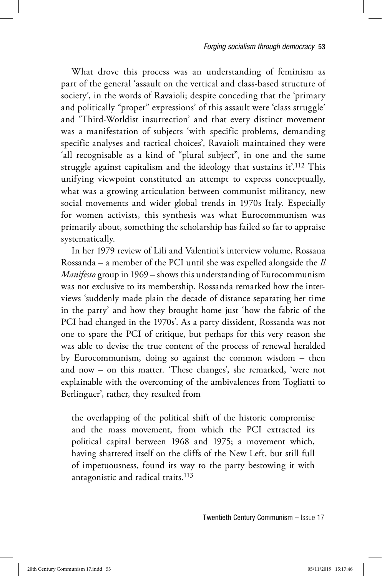What drove this process was an understanding of feminism as part of the general 'assault on the vertical and class-based structure of society', in the words of Ravaioli; despite conceding that the 'primary and politically "proper" expressions' of this assault were 'class struggle' and 'Third-Worldist insurrection' and that every distinct movement was a manifestation of subjects 'with specific problems, demanding specific analyses and tactical choices', Ravaioli maintained they were 'all recognisable as a kind of "plural subject", in one and the same struggle against capitalism and the ideology that sustains it'.112 This unifying viewpoint constituted an attempt to express conceptually, what was a growing articulation between communist militancy, new social movements and wider global trends in 1970s Italy. Especially for women activists, this synthesis was what Eurocommunism was primarily about, something the scholarship has failed so far to appraise systematically.

In her 1979 review of Lili and Valentini's interview volume, Rossana Rossanda – a member of the PCI until she was expelled alongside the *Il Manifesto* group in 1969 – shows this understanding of Eurocommunism was not exclusive to its membership. Rossanda remarked how the interviews 'suddenly made plain the decade of distance separating her time in the party' and how they brought home just 'how the fabric of the PCI had changed in the 1970s'. As a party dissident, Rossanda was not one to spare the PCI of critique, but perhaps for this very reason she was able to devise the true content of the process of renewal heralded by Eurocommunism, doing so against the common wisdom – then and now – on this matter. 'These changes', she remarked, 'were not explainable with the overcoming of the ambivalences from Togliatti to Berlinguer', rather, they resulted from

the overlapping of the political shift of the historic compromise and the mass movement, from which the PCI extracted its political capital between 1968 and 1975; a movement which, having shattered itself on the cliffs of the New Left, but still full of impetuousness, found its way to the party bestowing it with antagonistic and radical traits.<sup>113</sup>

Twentieth Century Communism – Issue 17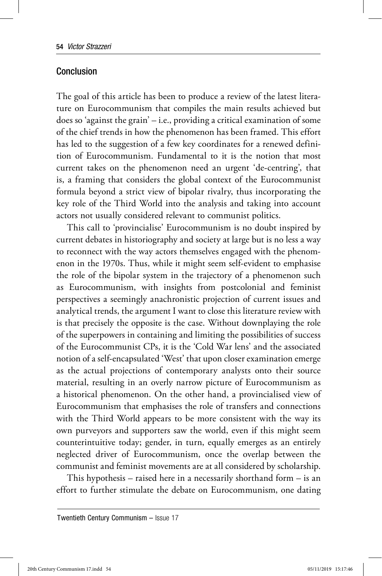## Conclusion

The goal of this article has been to produce a review of the latest literature on Eurocommunism that compiles the main results achieved but does so 'against the grain' – i.e., providing a critical examination of some of the chief trends in how the phenomenon has been framed. This effort has led to the suggestion of a few key coordinates for a renewed definition of Eurocommunism. Fundamental to it is the notion that most current takes on the phenomenon need an urgent 'de-centring', that is, a framing that considers the global context of the Eurocommunist formula beyond a strict view of bipolar rivalry, thus incorporating the key role of the Third World into the analysis and taking into account actors not usually considered relevant to communist politics.

This call to 'provincialise' Eurocommunism is no doubt inspired by current debates in historiography and society at large but is no less a way to reconnect with the way actors themselves engaged with the phenomenon in the 1970s. Thus, while it might seem self-evident to emphasise the role of the bipolar system in the trajectory of a phenomenon such as Eurocommunism, with insights from postcolonial and feminist perspectives a seemingly anachronistic projection of current issues and analytical trends, the argument I want to close this literature review with is that precisely the opposite is the case. Without downplaying the role of the superpowers in containing and limiting the possibilities of success of the Eurocommunist CPs, it is the 'Cold War lens' and the associated notion of a self-encapsulated 'West' that upon closer examination emerge as the actual projections of contemporary analysts onto their source material, resulting in an overly narrow picture of Eurocommunism as a historical phenomenon. On the other hand, a provincialised view of Eurocommunism that emphasises the role of transfers and connections with the Third World appears to be more consistent with the way its own purveyors and supporters saw the world, even if this might seem counterintuitive today; gender, in turn, equally emerges as an entirely neglected driver of Eurocommunism, once the overlap between the communist and feminist movements are at all considered by scholarship.

This hypothesis – raised here in a necessarily shorthand form – is an effort to further stimulate the debate on Eurocommunism, one dating

Twentieth Century Communism – Issue 17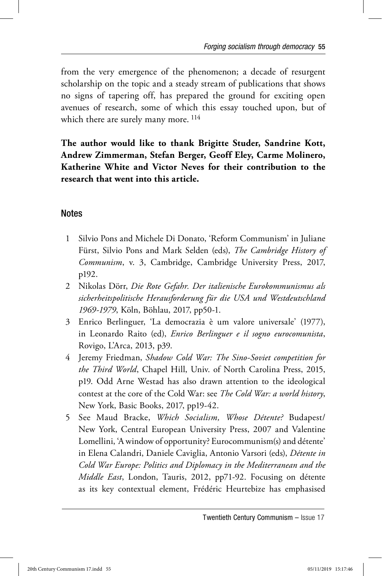from the very emergence of the phenomenon; a decade of resurgent scholarship on the topic and a steady stream of publications that shows no signs of tapering off, has prepared the ground for exciting open avenues of research, some of which this essay touched upon, but of which there are surely many more.  $^{114}$ 

**The author would like to thank Brigitte Studer, Sandrine Kott, Andrew Zimmerman, Stefan Berger, Geoff Eley, Carme Molinero, Katherine White and Victor Neves for their contribution to the research that went into this article.** 

# **Notes**

- 1 Silvio Pons and Michele Di Donato, 'Reform Communism' in Juliane Fürst, Silvio Pons and Mark Selden (eds), *The Cambridge History of Communism*, v. 3, Cambridge, Cambridge University Press, 2017, p192.
- 2 Nikolas Dörr, *Die Rote Gefahr. Der italienische Eurokommunismus als sicherheitspolitische Herausforderung für die USA und Westdeutschland 1969-1979*, Köln, Böhlau, 2017, pp50-1.
- 3 Enrico Berlinguer, 'La democrazia è um valore universale' (1977), in Leonardo Raito (ed), *Enrico Berlinguer e il sogno eurocomunista*, Rovigo, L'Arca, 2013, p39.
- 4 Jeremy Friedman, *Shadow Cold War: The Sino-Soviet competition for the Third World*, Chapel Hill, Univ. of North Carolina Press, 2015, p19. Odd Arne Westad has also drawn attention to the ideological contest at the core of the Cold War: see *The Cold War: a world history*, New York, Basic Books, 2017, pp19-42.
- 5 See Maud Bracke, Which Socialism, Whose Détente? Budapest/ New York, Central European University Press, 2007 and Valentine Lomellini, 'A window of opportunity? Eurocommunism(s) and détente' in Elena Calandri, Daniele Caviglia, Antonio Varsori (eds), *Dé tente in Cold War Europe: Politics and Diplomacy in the Mediterranean and the Middle East*, London, Tauris, 2012, pp71-92. Focusing on détente as its key contextual element, Frédéric Heurtebize has emphasised

Twentieth Century Communism – Issue 17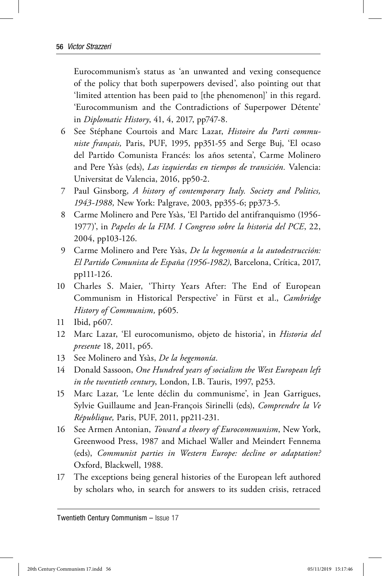Eurocommunism's status as 'an unwanted and vexing consequence of the policy that both superpowers devised', also pointing out that 'limited attention has been paid to [the phenomenon]' in this regard. 'Eurocommunism and the Contradictions of Superpower Détente' in *Diplomatic History*, 41, 4, 2017, pp747-8.

- 6 See Stéphane Courtois and Marc Lazar, *Histoire du Parti communiste français,* Paris, PUF, 1995, pp351-55 and Serge Buj, 'El ocaso del Partido Comunista Francés: los años setenta', Carme Molinero and Pere Ysàs (eds), *Las izquierdas en tiempos de transición*. Valencia: Universitat de Valencia, 2016, pp50-2.
- 7 Paul Ginsborg, *A history of contemporary Italy. Society and Politics, 1943-1988,* New York: Palgrave, 2003, pp355-6; pp373-5.
- 8 Carme Molinero and Pere Ysàs, 'El Partido del antifranquismo (1956-1977)', in *Papeles de la FIM. I Congreso sobre la historia del PCE*, 22, 2004, pp103-126.
- 9 Carme Molinero and Pere Ysà s, *De la hegemoní a a la autodestrucció n: El Partido Comunista de España (1956-1982)*, Barcelona, Crítica, 2017, pp111-126.
- 10 Charles S. Maier, 'Thirty Years After: The End of European Communism in Historical Perspective' in Fürst et al., *Cambridge History of Communism,* p605.
- 11 Ibid, p607.
- 12 Marc Lazar, 'El eurocomunismo, objeto de historia', in *Historia del presente* 18, 2011, p65.
- 13 See Molinero and Ysàs, *De la hegemonía*.
- 14 Donald Sassoon, *One Hundred years of socialism the West European left in the twentieth century*, London, I.B. Tauris, 1997, p253.
- 15 Marc Lazar, 'Le lente déclin du communisme', in Jean Garrigues, Sylvie Guillaume and Jean-François Sirinelli (eds), *Comprendre la Ve République,* Paris, PUF, 2011, pp211-231.
- 16 See Armen Antonian, *Toward a theory of Eurocommunism*, New York, Greenwood Press, 1987 and Michael Waller and Meindert Fennema (eds), *Communist parties in Western Europe: decline or adaptation?* Oxford, Blackwell, 1988.
- 17 The exceptions being general histories of the European left authored by scholars who, in search for answers to its sudden crisis, retraced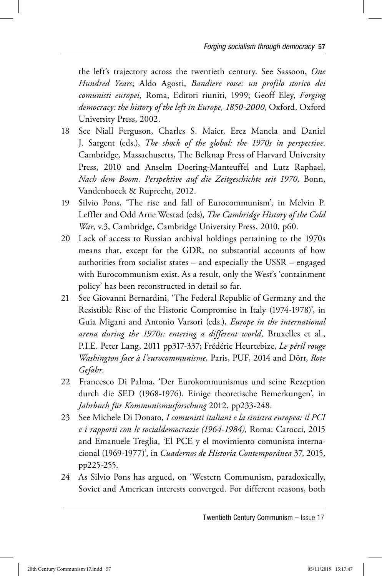the left's trajectory across the twentieth century. See Sassoon, *One Hundred Years*; Aldo Agosti, *Bandiere rosse: un profilo storico dei comunisti europei,* Roma, Editori riuniti, 1999; Geoff Eley, *Forging democracy: the history of the left in Europe, 1850-2000*, Oxford, Oxford University Press, 2002.

- 18 See Niall Ferguson, Charles S. Maier, Erez Manela and Daniel J. Sargent (eds.), *The shock of the global: the 1970s in perspective*. Cambridge, Massachusetts, The Belknap Press of Harvard University Press, 2010 and Anselm Doering-Manteuffel and Lutz Raphael, *Nach dem Boom. Perspektive auf die Zeitgeschichte seit 1970,* Bonn, Vandenhoeck & Ruprecht, 2012.
- 19 Silvio Pons, 'The rise and fall of Eurocommunism', in Melvin P. Leffler and Odd Arne Westad (eds), *The Cambridge History of the Cold War*, v.3, Cambridge, Cambridge University Press, 2010, p60.
- 20 Lack of access to Russian archival holdings pertaining to the 1970s means that, except for the GDR, no substantial accounts of how authorities from socialist states – and especially the USSR – engaged with Eurocommunism exist. As a result, only the West's 'containment policy' has been reconstructed in detail so far.
- 21 See Giovanni Bernardini, 'The Federal Republic of Germany and the Resistible Rise of the Historic Compromise in Italy (1974-1978)', in Guia Migani and Antonio Varsori (eds.), *Europe in the international arena during the 1970s: entering a different world,* Bruxelles et al., P.I.E. Peter Lang, 2011 pp317-337; Frédéric Heurtebize, *Le péril rouge Washington face à l'eurocommunisme,* Paris, PUF, 2014 and Dörr, *Rote Gefahr*.
- 22 Francesco Di Palma, 'Der Eurokommunismus und seine Rezeption durch die SED (1968-1976). Einige theoretische Bemerkungen', in *Jahrbuch für Kommunismusforschung* 2012, pp233-248.
- 23 See Michele Di Donato, *I comunisti italiani e la sinistra europea: il PCI e i rapporti con le socialdemocrazie (1964-1984),* Roma: Carocci, 2015 and Emanuele Treglia, 'El PCE y el movimiento comunista internacional (1969-1977)', in *Cuadernos de Historia Contemporánea* 37, 2015, pp225-255.
- 24 As Silvio Pons has argued, on 'Western Communism, paradoxically, Soviet and American interests converged. For different reasons, both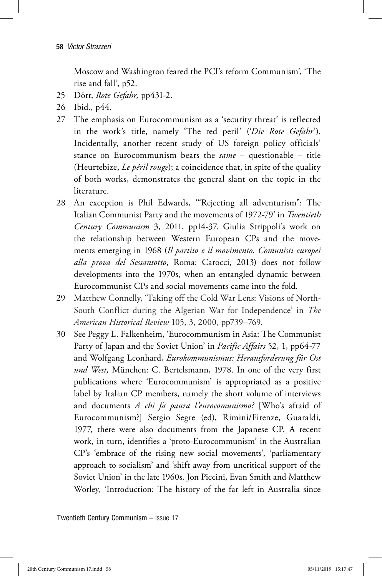Moscow and Washington feared the PCI's reform Communism', 'The rise and fall', p52.

- 25 Dörr, *Rote Gefahr,* pp431-2.
- 26 Ibid.*,* p44.
- 27 The emphasis on Eurocommunism as a 'security threat' is reflected in the work's title, namely 'The red peril' ('*Die Rote Gefahr*'). Incidentally, another recent study of US foreign policy officials' stance on Eurocommunism bears the *same* – questionable – title (Heurtebize, *Le péril rouge*); a coincidence that, in spite of the quality of both works, demonstrates the general slant on the topic in the literature.
- 28 An exception is Phil Edwards, '"Rejecting all adventurism": The Italian Communist Party and the movements of 1972-79' in *Twentieth Century Communism* 3, 2011, pp14-37. Giulia Strippoli's work on the relationship between Western European CPs and the movements emerging in 1968 (*Il partito e il movimento. Comunisti europei alla prova del Sessantotto*, Roma: Carocci, 2013) does not follow developments into the 1970s, when an entangled dynamic between Eurocommunist CPs and social movements came into the fold.
- 29 Matthew Connelly, 'Taking off the Cold War Lens: Visions of North-South Conflict during the Algerian War for Independence' in *The American Historical Review* 105, 3, 2000, pp739–769.
- 30 See Peggy L. Falkenheim, 'Eurocommunism in Asia: The Communist Party of Japan and the Soviet Union' in *Pacific Affairs* 52, 1, pp64-77 and Wolfgang Leonhard, *Eurokommunismus: Herausforderung für Ost* und West, München: C. Bertelsmann, 1978. In one of the very first publications where 'Eurocommunism' is appropriated as a positive label by Italian CP members, namely the short volume of interviews and documents *A chi fa paura l'eurocomunismo?* [Who's afraid of Eurocommunism?] Sergio Segre (ed), Rimini/Firenze, Guaraldi, 1977, there were also documents from the Japanese CP. A recent work, in turn, identifies a 'proto-Eurocommunism' in the Australian CP's 'embrace of the rising new social movements', 'parliamentary approach to socialism' and 'shift away from uncritical support of the Soviet Union' in the late 1960s. Jon Piccini, Evan Smith and Matthew Worley, 'Introduction: The history of the far left in Australia since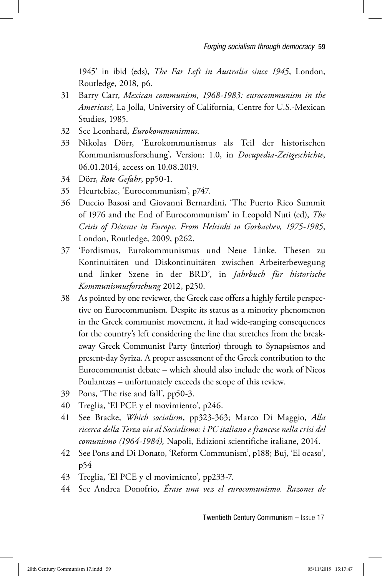1945' in ibid (eds), *The Far Left in Australia since 1945*, London, Routledge, 2018, p6.

- 31 Barry Carr, *Mexican communism, 1968-1983: eurocommunism in the Americas?*, La Jolla, University of California, Centre for U.S.-Mexican Studies, 1985.
- 32 See Leonhard, *Eurokommunismus*.
- 33 Nikolas Dörr, 'Eurokommunismus als Teil der historischen Kommunismusforschung', Version: 1.0, in *Docupedia-Zeitgeschichte*, 06.01.2014, access on 10.08.2019.
- 34 Dörr, *Rote Gefahr*, pp50-1.
- 35 Heurtebize, 'Eurocommunism', p747.
- 36 Duccio Basosi and Giovanni Bernardini, 'The Puerto Rico Summit of 1976 and the End of Eurocommunism' in Leopold Nuti (ed), *The Crisis of Détente in Europe. From Helsinki to Gorbachev, 1975-1985*, London, Routledge, 2009, p262.
- 37 'Fordismus, Eurokommunismus und Neue Linke. Thesen zu Kontinuitäten und Diskontinuitäten zwischen Arbeiterbewegung und linker Szene in der BRD', in *Jahrbuch für historische Kommunismusforschung* 2012, p250.
- 38 As pointed by one reviewer, the Greek case offers a highly fertile perspective on Eurocommunism. Despite its status as a minority phenomenon in the Greek communist movement, it had wide-ranging consequences for the country's left considering the line that stretches from the breakaway Greek Communist Party (interior) through to Synapsismos and present-day Syriza. A proper assessment of the Greek contribution to the Eurocommunist debate – which should also include the work of Nicos Poulantzas – unfortunately exceeds the scope of this review.
- 39 Pons, 'The rise and fall', pp50-3.
- 40 Treglia, 'El PCE y el movimiento', p246.
- 41 See Bracke, *Which socialism*, pp323-363; Marco Di Maggio, *Alla ricerca della Terza via al Socialismo: i PC italiano e francese nella crisi del comunismo (1964-1984),* Napoli, Edizioni scientifiche italiane, 2014.
- 42 See Pons and Di Donato, 'Reform Communism', p188; Buj, 'El ocaso', p54
- 43 Treglia, 'El PCE y el movimiento', pp233-7.
- 44 See Andrea Donofrio, *Érase una vez el eurocomunismo. Razones de*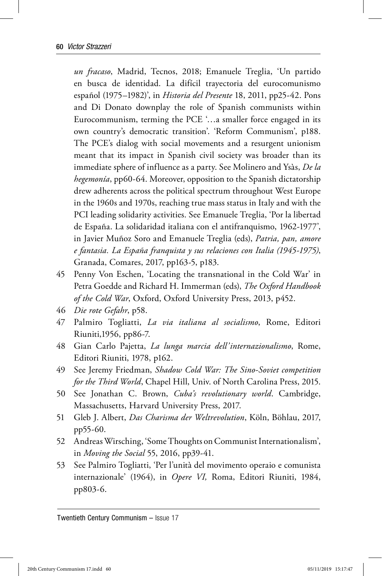*un fracaso*, Madrid, Tecnos, 2018; Emanuele Treglia, 'Un partido en busca de identidad. La difícil trayectoria del eurocomunismo español (1975–1982)', in *Historia del Presente* 18, 2011, pp25-42. Pons and Di Donato downplay the role of Spanish communists within Eurocommunism, terming the PCE '…a smaller force engaged in its own country's democratic transition'. 'Reform Communism', p188. The PCE's dialog with social movements and a resurgent unionism meant that its impact in Spanish civil society was broader than its immediate sphere of influence as a party. See Molinero and Ysàs, *De la hegemonía*, pp60-64. Moreover, opposition to the Spanish dictatorship drew adherents across the political spectrum throughout West Europe in the 1960s and 1970s, reaching true mass status in Italy and with the PCI leading solidarity activities. See Emanuele Treglia, 'Por la libertad de España. La solidaridad italiana con el antifranquismo, 1962-1977', in Javier Muñoz Soro and Emanuele Treglia (eds), *Patria, pan, amore e fantasia. La España franquista y sus relaciones con Italia (1945-1975)*, Granada, Comares, 2017, pp163-5, p183.

- 45 Penny Von Eschen, 'Locating the transnational in the Cold War' in Petra Goedde and Richard H. Immerman (eds), *The Oxford Handbook of the Cold War*, Oxford, Oxford University Press, 2013, p452.
- 46 *Die rote Gefahr*, p58.
- 47 Palmiro Togliatti, *La via italiana al socialismo*, Rome, Editori Riuniti,1956, pp86-7.
- 48 Gian Carlo Pajetta, *La lunga marcia dell'internazionalismo*, Rome, Editori Riuniti, 1978, p162.
- 49 See Jeremy Friedman, *Shadow Cold War: The Sino-Soviet competition for the Third World*, Chapel Hill, Univ. of North Carolina Press, 2015.
- 50 See Jonathan C. Brown, *Cuba's revolutionary world*. Cambridge, Massachusetts, Harvard University Press, 2017.
- 51 Gleb J. Albert, *Das Charisma der Weltrevolution*, Köln, Böhlau, 2017, pp55-60.
- 52 Andreas Wirsching, 'Some Thoughts on Communist Internationalism', in *Moving the Social* 55, 2016, pp39-41.
- 53 See Palmiro Togliatti, 'Per l'unità del movimento operaio e comunista internazionale' (1964), in *Opere VI,* Roma, Editori Riuniti, 1984, pp803-6.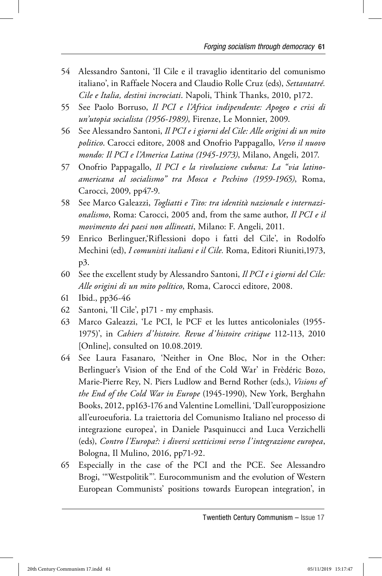- 54 Alessandro Santoni, 'Il Cile e il travaglio identitario del comunismo italiano', in Raffaele Nocera and Claudio Rolle Cruz (eds), *Settantatré. Cile e Italia, destini incrociati*. Napoli, Think Thanks, 2010, p172.
- 55 See Paolo Borruso, *Il PCI e l'Africa indipendente: Apogeo e crisi di un'utopia socialista (1956-1989)*, Firenze, Le Monnier, 2009.
- 56 See Alessandro Santoni, *Il PCI e i giorni del Cile: Alle origini di un mito politico*. Carocci editore, 2008 and Onofrio Pappagallo, *Verso il nuovo mondo: Il PCI e l'America Latina (1945-1973)*, Milano, Angeli, 2017.
- 57 Onofrio Pappagallo, *Il PCI e la rivoluzione cubana: La "via latinoamericana al socialismo" tra Mosca e Pechino (1959-1965)*, Roma, Carocci, 2009, pp47-9.
- 58 See Marco Galeazzi, *Togliatti e Tito: tra identità nazionale e internazionalismo*, Roma: Carocci, 2005 and, from the same author, *Il PCI e il movimento dei paesi non allineati*, Milano: F. Angeli, 2011.
- 59 Enrico Berlinguer,'Riflessioni dopo i fatti del Cile', in Rodolfo Mechini (ed), *I comunisti italiani e il Cile.* Roma, Editori Riuniti,1973, p3.
- 60 See the excellent study by Alessandro Santoni, *Il PCI e i giorni del Cile: Alle origini di un mito político*, Roma, Carocci editore, 2008.
- 61 Ibid., pp36-46
- 62 Santoni, 'Il Cile', p171 my emphasis.
- 63 Marco Galeazzi, 'Le PCI, le PCF et les luttes anticoloniales (1955- 1975)', in *Cahiers d'histoire. Revue d'histoire critique* 112-113, 2010 [Online], consulted on 10.08.2019.
- 64 See Laura Fasanaro, 'Neither in One Bloc, Nor in the Other: Berlinguer's Vision of the End of the Cold War' in Frèdéric Bozo, Marie-Pierre Rey, N. Piers Ludlow and Bernd Rother (eds.), *Visions of the End of the Cold War in Europe* (1945-1990), New York, Berghahn Books, 2012, pp163-176 and Valentine Lomellini, 'Dall'europposizione all'euroeuforia. La traiettoria del Comunismo Italiano nel processo di integrazione europea', in Daniele Pasquinucci and Luca Verzichelli (eds), *Contro l'Europa?: i diversi scetticismi verso l'integrazione europea*, Bologna, Il Mulino, 2016, pp71-92.
- 65 Especially in the case of the PCI and the PCE. See Alessandro Brogi, '"Westpolitik"'. Eurocommunism and the evolution of Western European Communists' positions towards European integration', in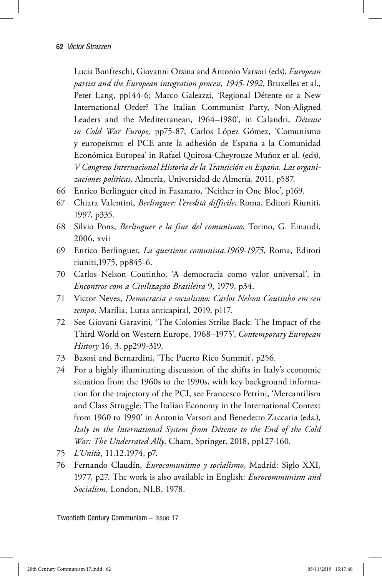Lucia Bonfreschi, Giovanni Orsina and Antonio Varsori (eds), *European parties and the European integration process, 1945-1992*, Bruxelles et al., Peter Lang, pp144-6; Marco Galeazzi, 'Regional Détente or a New International Order? The Italian Communist Party, Non-Aligned Leaders and the Mediterranean, 1964–1980', in Calandri, *Détente in Cold War Europe,* pp75-87; Carlos López Gómez, 'Comunismo y europeísmo: el PCE ante la adhesión de España a la Comunidad Económica Europea' in Rafael Quirosa-Cheyrouze Muñoz et al. (eds), *V Congreso Internacional Historia de la Transición en España. Las organizaciones políticas,* Almería, Universidad de Almería, 2011, p587.

- 66 Enrico Berlinguer cited in Fasanaro, 'Neither in One Bloc', p169.
- 67 Chiara Valentini, *Berlinguer: l'eredità difficile*, Roma, Editori Riuniti, 1997, p335.
- 68 Silvio Pons, *Berlinguer e la fine del comunismo*, Torino, G. Einaudi, 2006, xvii
- 69 Enrico Berlinguer, *La questione comunista.1969-1975*, Roma, Editori riuniti,1975, pp845-6.
- 70 Carlos Nelson Coutinho, 'A democracia como valor universal', in *Encontros com a Civilização Brasileira* 9, 1979, p34.
- 71 Victor Neves, *Democracia e socialismo: Carlos Nelson Coutinho em seu tempo*, Marília, Lutas anticapital, 2019, p117.
- 72 See Giovani Garavini, 'The Colonies Strike Back: The Impact of the Third World on Western Europe, 1968–1975', *Contemporary European History* 16, 3, pp299-319.
- 73 Basosi and Bernardini, 'The Puerto Rico Summit', p256.
- 74 For a highly illuminating discussion of the shifts in Italy's economic situation from the 1960s to the 1990s, with key background information for the trajectory of the PCI, see Francesco Petrini, 'Mercantilism and Class Struggle: The Italian Economy in the International Context from 1960 to 1990' in Antonio Varsori and Benedetto Zaccaria (eds.), *Italy in the International System from Détente to the End of the Cold War: The Underrated Ally*. Cham, Springer, 2018, pp127-160.
- 75 *L'Unità*, 11.12.1974, p7.
- 76 Fernando Claudín, *Eurocomunismo y socialismo*, Madrid: Siglo XXI, 1977, p27. The work is also available in English: *Eurocommunism and Socialism*, London, NLB, 1978.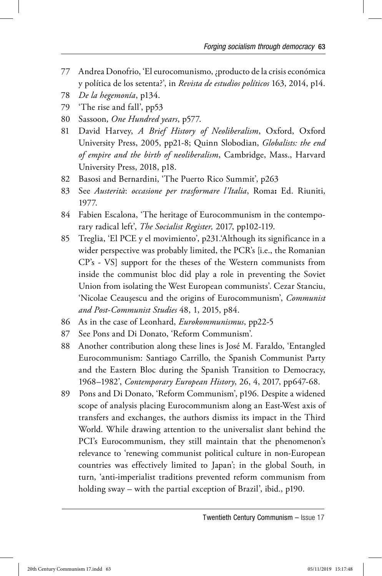- 77 Andrea Donofrio, 'El eurocomunismo, ¿producto de la crisis económica y política de los setenta?', in *Revista de estudios políticos* 163, 2014, p14.
- 78 *De la hegemonía*, p134.
- 79 'The rise and fall', pp53
- 80 Sassoon, *One Hundred years*, p577.
- 81 David Harvey, *A Brief History of Neoliberalism*, Oxford, Oxford University Press, 2005, pp21-8; Quinn Slobodian, *Globalists: the end of empire and the birth of neoliberalism*, Cambridge, Mass., Harvard University Press, 2018, p18.
- 82 Basosi and Bernardini, 'The Puerto Rico Summit', p263
- 83 See *Austerità*: *occasione per trasformare l'Italia*, Roma**:** Ed. Riuniti, 1977.
- 84 Fabien Escalona, 'The heritage of Eurocommunism in the contemporary radical left', *The Socialist Register,* 2017, pp102-119.
- 85 Treglia, 'El PCE y el movimiento', p231.'Although its significance in a wider perspective was probably limited, the PCR's [i.e., the Romanian CP's - VS] support for the theses of the Western communists from inside the communist bloc did play a role in preventing the Soviet Union from isolating the West European communists'. Cezar Stanciu, 'Nicolae Ceauşescu and the origins of Eurocommunism', *Communist and Post-Communist Studies* 48, 1, 2015, p84.
- 86 As in the case of Leonhard, *Eurokommunismus*, pp22-5
- 87 See Pons and Di Donato, 'Reform Communism'.
- 88 Another contribution along these lines is José M. Faraldo, 'Entangled Eurocommunism: Santiago Carrillo, the Spanish Communist Party and the Eastern Bloc during the Spanish Transition to Democracy, 1968–1982', *Contemporary European History*, 26, 4, 2017, pp647-68.
- 89 Pons and Di Donato, 'Reform Communism', p196. Despite a widened scope of analysis placing Eurocommunism along an East-West axis of transfers and exchanges, the authors dismiss its impact in the Third World. While drawing attention to the universalist slant behind the PCI's Eurocommunism, they still maintain that the phenomenon's relevance to 'renewing communist political culture in non-European countries was effectively limited to Japan'; in the global South, in turn, 'anti-imperialist traditions prevented reform communism from holding sway – with the partial exception of Brazil', ibid., p190.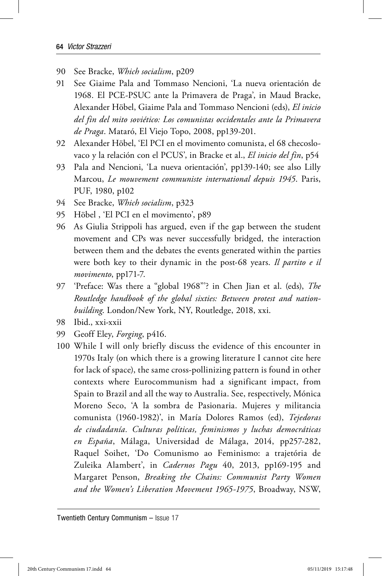- 90 See Bracke, *Which socialism*, p209
- 91 See Giaime Pala and Tommaso Nencioni, 'La nueva orientación de 1968. El PCE-PSUC ante la Primavera de Praga', in Maud Bracke, Alexander Höbel, Giaime Pala and Tommaso Nencioni (eds), *El inicio del fin del mito sovié tico: Los comunistas occidentales ante la Primavera de Praga*. Mataró , El Viejo Topo, 2008, pp139-201.
- 92 Alexander Höbel, 'El PCI en el movimento comunista, el 68 checoslovaco y la relación con el PCUS', in Bracke et al., *El inicio del fin*, p54
- 93 Pala and Nencioni, 'La nueva orientación', pp139-140; see also Lilly Marcou, *Le mouvement communiste international depuis 1945*. Paris, PUF, 1980, p102
- 94 See Bracke, *Which socialism*, p323
- 95 Höbel , 'El PCI en el movimento', p89
- 96 As Giulia Strippoli has argued, even if the gap between the student movement and CPs was never successfully bridged, the interaction between them and the debates the events generated within the parties were both key to their dynamic in the post-68 years. *Il partito e il movimento*, pp171-7.
- 97 'Preface: Was there a "global 1968"'? in Chen Jian et al. (eds), *The Routledge handbook of the global sixties: Between protest and nationbuilding*. London/New York, NY, Routledge, 2018, xxi.
- 98 Ibid., xxi-xxii
- 99 Geoff Eley, *Forging*, p416.
- 100 While I will only briefly discuss the evidence of this encounter in 1970s Italy (on which there is a growing literature I cannot cite here for lack of space), the same cross-pollinizing pattern is found in other contexts where Eurocommunism had a significant impact, from Spain to Brazil and all the way to Australia. See, respectively, Mónica Moreno Seco, 'A la sombra de Pasionaria. Mujeres y militancia comunista (1960-1982)', in María Dolores Ramos (ed), *Tejedoras de ciudadanía. Culturas políticas, feminismos y luchas democráticas en España*, Málaga, Universidad de Málaga, 2014, pp257-282, Raquel Soihet, 'Do Comunismo ao Feminismo: a trajetória de Zuleika Alambert', in *Cadernos Pagu* 40, 2013, pp169-195 and Margaret Penson, *Breaking the Chains: Communist Party Women and the Women's Liberation Movement 1965-1975*, Broadway, NSW,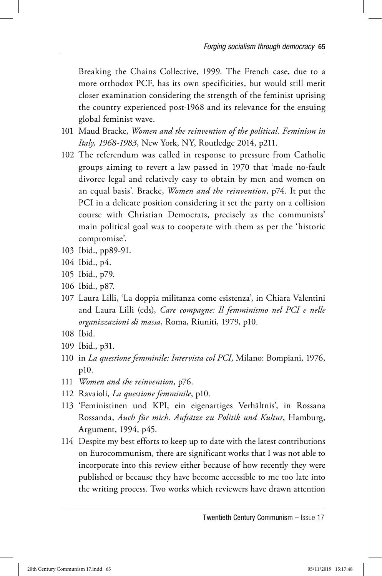Breaking the Chains Collective, 1999. The French case, due to a more orthodox PCF, has its own specificities, but would still merit closer examination considering the strength of the feminist uprising the country experienced post-1968 and its relevance for the ensuing global feminist wave.

- 101 Maud Bracke, *Women and the reinvention of the political. Feminism in Italy, 1968-1983*, New York, NY, Routledge 2014, p211.
- 102 The referendum was called in response to pressure from Catholic groups aiming to revert a law passed in 1970 that 'made no-fault divorce legal and relatively easy to obtain by men and women on an equal basis'. Bracke, *Women and the reinvention*, p74. It put the PCI in a delicate position considering it set the party on a collision course with Christian Democrats, precisely as the communists' main political goal was to cooperate with them as per the 'historic compromise'.
- 103 Ibid., pp89-91.
- 104 Ibid., p4.
- 105 Ibid., p79.
- 106 Ibid., p87.
- 107 Laura Lilli, 'La doppia militanza come esistenza', in Chiara Valentini and Laura Lilli (eds), *Care compagne: Il femminismo nel PCI e nelle organizzazioni di massa*, Roma, Riuniti, 1979, p10.
- 108 Ibid.
- 109 Ibid., p31.
- 110 in *La questione femminile: Intervista col PCI*, Milano: Bompiani, 1976, p10.
- 111 *Women and the reinvention*, p76.
- 112 Ravaioli, *La questione femminile*, p10.
- 113 'Feministinen und KPI, ein eigenartiges Verhältnis', in Rossana Rossanda, *Auch für mich*. *Aufsätze zu Politik und Kultur*, Hamburg, Argument, 1994, p45.
- 114 Despite my best efforts to keep up to date with the latest contributions on Eurocommunism, there are significant works that I was not able to incorporate into this review either because of how recently they were published or because they have become accessible to me too late into the writing process. Two works which reviewers have drawn attention